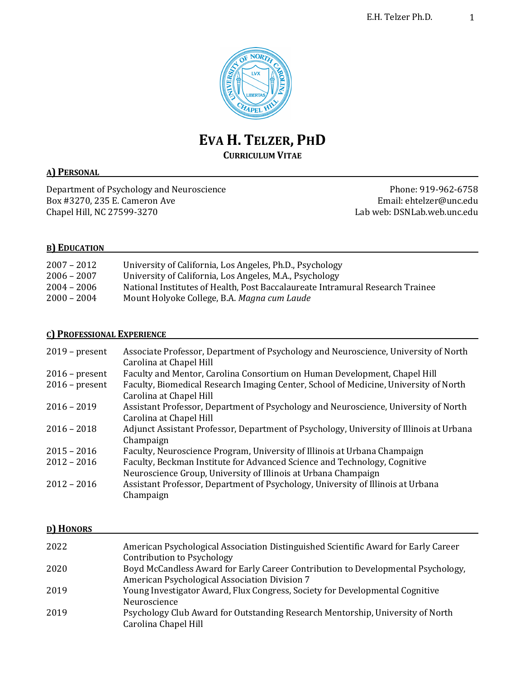

# **EVA H. TELZER, PHD**

# **CURRICULUM VITAE**

## **A) PERSONAL**

Department of Psychology and Neuroscience Phone: 919-962-6758 Box #3270, 235 E. Cameron Ave **Email:** ehtelzer@unc.edu Chapel Hill, NC 27599-3270 **Lab** web: DSNLab.web.unc.edu

## **B) EDUCATION**

| $2007 - 2012$ | University of California, Los Angeles, Ph.D., Psychology                      |
|---------------|-------------------------------------------------------------------------------|
| $2006 - 2007$ | University of California, Los Angeles, M.A., Psychology                       |
| $2004 - 2006$ | National Institutes of Health, Post Baccalaureate Intramural Research Trainee |
| $2000 - 2004$ | Mount Holyoke College, B.A. Magna cum Laude                                   |

## **C) PROFESSIONAL EXPERIENCE**

| $2019$ – present | Associate Professor, Department of Psychology and Neuroscience, University of North<br>Carolina at Chapel Hill  |
|------------------|-----------------------------------------------------------------------------------------------------------------|
| $2016$ – present | Faculty and Mentor, Carolina Consortium on Human Development, Chapel Hill                                       |
| $2016$ – present | Faculty, Biomedical Research Imaging Center, School of Medicine, University of North<br>Carolina at Chapel Hill |
| $2016 - 2019$    | Assistant Professor, Department of Psychology and Neuroscience, University of North<br>Carolina at Chapel Hill  |
| $2016 - 2018$    | Adjunct Assistant Professor, Department of Psychology, University of Illinois at Urbana<br>Champaign            |
| $2015 - 2016$    | Faculty, Neuroscience Program, University of Illinois at Urbana Champaign                                       |
| $2012 - 2016$    | Faculty, Beckman Institute for Advanced Science and Technology, Cognitive                                       |
|                  | Neuroscience Group, University of Illinois at Urbana Champaign                                                  |
| $2012 - 2016$    | Assistant Professor, Department of Psychology, University of Illinois at Urbana<br>Champaign                    |

## **D) HONORS**

| 2022 | American Psychological Association Distinguished Scientific Award for Early Career |
|------|------------------------------------------------------------------------------------|
|      | Contribution to Psychology                                                         |
| 2020 | Boyd McCandless Award for Early Career Contribution to Developmental Psychology,   |
|      | American Psychological Association Division 7                                      |
| 2019 | Young Investigator Award, Flux Congress, Society for Developmental Cognitive       |
|      | Neuroscience                                                                       |
| 2019 | Psychology Club Award for Outstanding Research Mentorship, University of North     |
|      | Carolina Chapel Hill                                                               |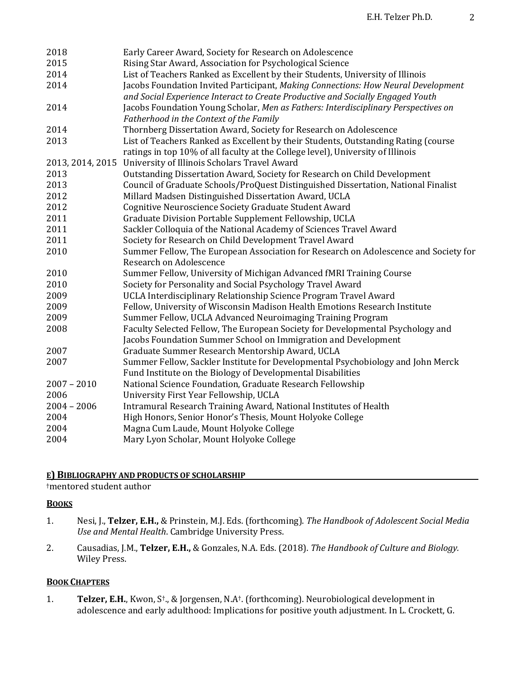| 2018             | Early Career Award, Society for Research on Adolescence                                                                                                             |
|------------------|---------------------------------------------------------------------------------------------------------------------------------------------------------------------|
| 2015             | Rising Star Award, Association for Psychological Science                                                                                                            |
| 2014             | List of Teachers Ranked as Excellent by their Students, University of Illinois                                                                                      |
| 2014             | Jacobs Foundation Invited Participant, Making Connections: How Neural Development<br>and Social Experience Interact to Create Productive and Socially Engaged Youth |
| 2014             | Jacobs Foundation Young Scholar, Men as Fathers: Interdisciplinary Perspectives on<br>Fatherhood in the Context of the Family                                       |
| 2014             | Thornberg Dissertation Award, Society for Research on Adolescence                                                                                                   |
| 2013             | List of Teachers Ranked as Excellent by their Students, Outstanding Rating (course                                                                                  |
|                  | ratings in top 10% of all faculty at the College level), University of Illinois                                                                                     |
| 2013, 2014, 2015 | University of Illinois Scholars Travel Award                                                                                                                        |
| 2013             | Outstanding Dissertation Award, Society for Research on Child Development                                                                                           |
| 2013             | Council of Graduate Schools/ProQuest Distinguished Dissertation, National Finalist                                                                                  |
| 2012             | Millard Madsen Distinguished Dissertation Award, UCLA                                                                                                               |
| 2012             | Cognitive Neuroscience Society Graduate Student Award                                                                                                               |
| 2011             | Graduate Division Portable Supplement Fellowship, UCLA                                                                                                              |
| 2011             | Sackler Colloquia of the National Academy of Sciences Travel Award                                                                                                  |
| 2011             | Society for Research on Child Development Travel Award                                                                                                              |
| 2010             | Summer Fellow, The European Association for Research on Adolescence and Society for                                                                                 |
|                  | Research on Adolescence                                                                                                                                             |
| 2010             | Summer Fellow, University of Michigan Advanced fMRI Training Course                                                                                                 |
| 2010             | Society for Personality and Social Psychology Travel Award                                                                                                          |
| 2009             | UCLA Interdisciplinary Relationship Science Program Travel Award                                                                                                    |
| 2009             | Fellow, University of Wisconsin Madison Health Emotions Research Institute                                                                                          |
| 2009             | Summer Fellow, UCLA Advanced Neuroimaging Training Program                                                                                                          |
| 2008             | Faculty Selected Fellow, The European Society for Developmental Psychology and                                                                                      |
|                  | Jacobs Foundation Summer School on Immigration and Development                                                                                                      |
| 2007             | Graduate Summer Research Mentorship Award, UCLA                                                                                                                     |
| 2007             | Summer Fellow, Sackler Institute for Developmental Psychobiology and John Merck                                                                                     |
|                  | Fund Institute on the Biology of Developmental Disabilities                                                                                                         |
| $2007 - 2010$    | National Science Foundation, Graduate Research Fellowship                                                                                                           |
| 2006             | University First Year Fellowship, UCLA                                                                                                                              |
| $2004 - 2006$    | Intramural Research Training Award, National Institutes of Health                                                                                                   |
| 2004             | High Honors, Senior Honor's Thesis, Mount Holyoke College                                                                                                           |
| 2004             | Magna Cum Laude, Mount Holyoke College                                                                                                                              |
| 2004             | Mary Lyon Scholar, Mount Holyoke College                                                                                                                            |

## **E) BIBLIOGRAPHY AND PRODUCTS OF SCHOLARSHIP**

†mentored student author

## **BOOKS**

- 1. Nesi, J., Telzer, E.H., & Prinstein, M.J. Eds. (forthcoming). The Handbook of Adolescent Social Media Use and Mental Health. Cambridge University Press.
- 2. Causadias, J.M., Telzer, E.H., & Gonzales, N.A. Eds. (2018). The Handbook of Culture and Biology. Wiley Press.

## **BOOK CHAPTERS**

1. **Telzer, E.H.**, Kwon, S<sup>†</sup>., & Jorgensen, N.A<sup>†</sup>. (forthcoming). Neurobiological development in adolescence and early adulthood: Implications for positive youth adjustment. In L. Crockett, G.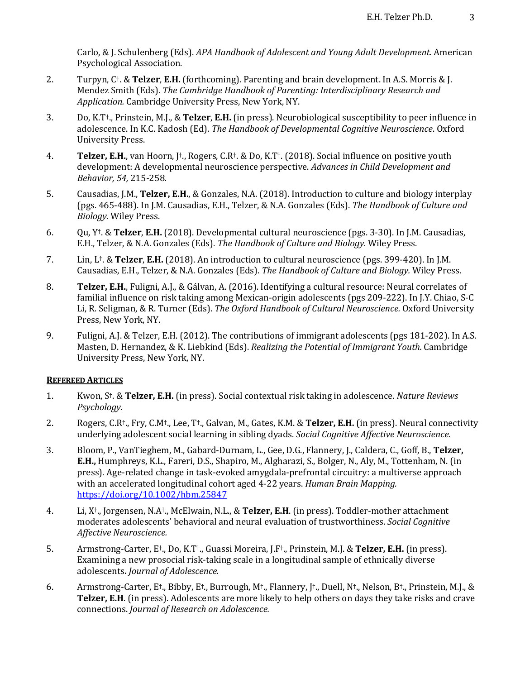Carlo, & J. Schulenberg (Eds). *APA Handbook of Adolescent and Young Adult Development.* American Psychological Association.

- 2. Turpyn, C<sup>†</sup>. & **Telzer, E.H.** (forthcoming). Parenting and brain development. In A.S. Morris & J. Mendez Smith (Eds). *The Cambridge Handbook of Parenting: Interdisciplinary Research and Application.* Cambridge University Press, New York, NY.
- 3. Do, K.T<sup>+</sup>., Prinstein, M.J., & **Telzer, E.H.** (in press). Neurobiological susceptibility to peer influence in adolescence. In K.C. Kadosh (Ed). The Handbook of Developmental Cognitive Neuroscience. Oxford University Press.
- 4. **Telzer, E.H.**, van Hoorn, J<sup>†</sup>., Rogers, C.R<sup>†</sup>. & Do, K.T<sup>†</sup>. (2018). Social influence on positive youth development: A developmental neuroscience perspective. Advances in Child Development and *Behavior, 54,* 215-258*.*
- 5. Causadias, J.M., **Telzer, E.H.**, & Gonzales, N.A. (2018). Introduction to culture and biology interplay (pgs. 465-488). In J.M. Causadias, E.H., Telzer, & N.A. Gonzales (Eds). *The Handbook of Culture and Biology.* Wiley Press.
- 6. Qu, Y†. & **Telzer**, **E.H.** (2018). Developmental cultural neuroscience (pgs. 3-30). In J.M. Causadias, E.H., Telzer, & N.A. Gonzales (Eds). The Handbook of Culture and Biology. Wiley Press.
- 7. Lin, L<sup>†</sup>. & **Telzer, E.H.** (2018). An introduction to cultural neuroscience (pgs. 399-420). In J.M. Causadias, E.H., Telzer, & N.A. Gonzales (Eds). *The Handbook of Culture and Biology*. Wiley Press.
- 8. **Telzer, E.H.**, Fuligni, A.J., & Gálvan, A. (2016). Identifying a cultural resource: Neural correlates of familial influence on risk taking among Mexican-origin adolescents (pgs 209-222). In J.Y. Chiao, S-C Li, R. Seligman, & R. Turner (Eds). *The Oxford Handbook of Cultural Neuroscience*. Oxford University Press, New York, NY.
- 9. Fuligni, A.J. & Telzer, E.H. (2012). The contributions of immigrant adolescents (pgs 181-202). In A.S. Masten, D. Hernandez, & K. Liebkind (Eds). *Realizing the Potential of Immigrant Youth.* Cambridge University Press, New York, NY.

#### **REFEREED ARTICLES**

- 1. Kwon, S<sup>†</sup>. & **Telzer, E.H.** (in press). Social contextual risk taking in adolescence. *Nature Reviews Psychology.*
- 2. Rogers, C.R<sup>†</sup>., Fry, C.M<sup>†</sup>., Lee, T<sup>+</sup>., Galvan, M., Gates, K.M. & **Telzer, E.H.** (in press). Neural connectivity underlying adolescent social learning in sibling dyads. *Social Cognitive Affective Neuroscience*.
- 3. Bloom, P., VanTieghem, M., Gabard-Durnam, L., Gee, D.G., Flannery, J., Caldera, C., Goff, B., Telzer, **E.H.,** Humphreys, K.L., Fareri, D.S., Shapiro, M., Algharazi, S., Bolger, N., Aly, M., Tottenham, N. (in press). Age-related change in task-evoked amygdala-prefrontal circuitry: a multiverse approach with an accelerated longitudinal cohort aged 4-22 years. *Human Brain Mapping.* https://doi.org/10.1002/hbm.25847
- 4. Li, X<sup>†</sup>., Jorgensen, N.A<sup>†</sup>., McElwain, N.L., & **Telzer, E.H**. (in press). Toddler-mother attachment moderates adolescents' behavioral and neural evaluation of trustworthiness. *Social Cognitive Affective Neuroscience.*
- 5. Armstrong-Carter, E<sup>†</sup>., Do, K.T<sup>†</sup>., Guassi Moreira, J.F<sup>†</sup>., Prinstein, M.J. & **Telzer, E.H.** (in press). Examining a new prosocial risk-taking scale in a longitudinal sample of ethnically diverse adolescents. *Journal of Adolescence.*
- 6. Armstrong-Carter, E<sup>†</sup>., Bibby, E<sup>†</sup>., Burrough, M<sup>†</sup>., Flannery, J<sup>†</sup>., Duell, N<sup>†</sup>., Nelson, B<sup>†</sup>., Prinstein, M.J., & **Telzer, E.H.** (in press). Adolescents are more likely to help others on days they take risks and crave connections. *Journal of Research on Adolescence.*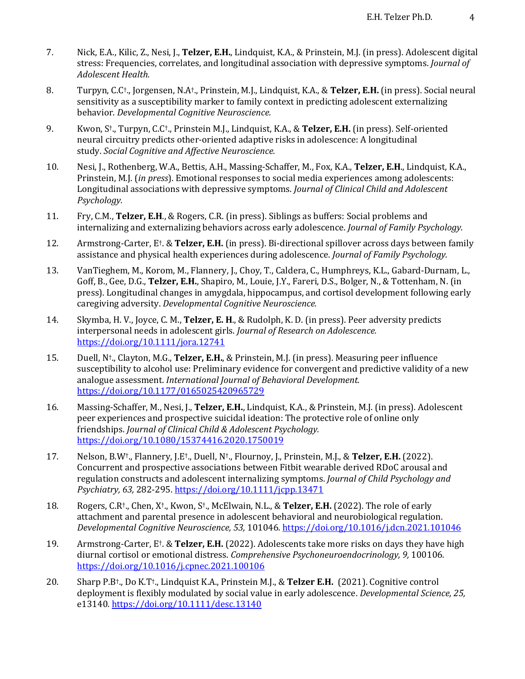- 7. Nick, E.A., Kilic, Z., Nesi, J., **Telzer, E.H.**, Lindquist, K.A., & Prinstein, M.J. (in press). Adolescent digital stress: Frequencies, correlates, and longitudinal association with depressive symptoms. *Journal of Adolescent Health.*
- 8. Turpyn, C.C<sup>†</sup>., Jorgensen, N.A<sup>†</sup>., Prinstein, M.J., Lindquist, K.A., & **Telzer, E.H.** (in press). Social neural sensitivity as a susceptibility marker to family context in predicting adolescent externalizing behavior. *Developmental Cognitive Neuroscience.*
- 9. Kwon, S<sup>†</sup>., Turpyn, C.C†., Prinstein M.J., Lindquist, K.A., & **Telzer, E.H.** (in press). Self-oriented neural circuitry predicts other-oriented adaptive risks in adolescence: A longitudinal study. *Social Cognitive and Affective Neuroscience.*
- 10. Nesi, J., Rothenberg, W.A., Bettis, A.H., Massing-Schaffer, M., Fox, K.A., Telzer, E.H., Lindquist, K.A., Prinstein, M.J. *(in press)*. Emotional responses to social media experiences among adolescents: Longitudinal associations with depressive symptoms. *Journal of Clinical Child and Adolescent Psychology.*
- 11. Fry, C.M., **Telzer, E.H.**, & Rogers, C.R. (in press). Siblings as buffers: Social problems and internalizing and externalizing behaviors across early adolescence. *Journal of Family Psychology.*
- 12. Armstrong-Carter, E<sup>†</sup>. & **Telzer, E.H.** (in press). Bi-directional spillover across days between family assistance and physical health experiences during adolescence. *Journal of Family Psychology*.
- 13. VanTieghem, M., Korom, M., Flannery, J., Choy, T., Caldera, C., Humphreys, K.L., Gabard-Durnam, L., Goff, B., Gee, D.G., Telzer, E.H., Shapiro, M., Louie, J.Y., Fareri, D.S., Bolger, N., & Tottenham, N. (in press). Longitudinal changes in amygdala, hippocampus, and cortisol development following early caregiving adversity. *Developmental Cognitive Neuroscience.*
- 14. Skymba, H. V., Joyce, C. M., Telzer, E. H., & Rudolph, K. D. (in press). Peer adversity predicts interpersonal needs in adolescent girls. *Journal of Research on Adolescence.* https://doi.org/10.1111/jora.12741
- 15. Duell, N<sup>†</sup>., Clayton, M.G., **Telzer, E.H.**, & Prinstein, M.J. (in press). Measuring peer influence susceptibility to alcohol use: Preliminary evidence for convergent and predictive validity of a new analogue assessment. *International Journal of Behavioral Development.* https://doi.org/10.1177/0165025420965729
- 16. Massing-Schaffer, M., Nesi, J., Telzer, E.H., Lindquist, K.A., & Prinstein, M.J. (in press). Adolescent peer experiences and prospective suicidal ideation: The protective role of online only friendships. *Journal of Clinical Child & Adolescent Psychology.* https://doi.org/10.1080/15374416.2020.1750019
- 17. Nelson, B.W<sup>†</sup>., Flannery, J.E<sup>†</sup>., Duell, N<sup>†</sup>., Flournoy, J., Prinstein, M.J., & **Telzer, E.H.** (2022). Concurrent and prospective associations between Fitbit wearable derived RDoC arousal and regulation constructs and adolescent internalizing symptoms. *Journal of Child Psychology and Psychiatry, 63,* 282-295. https://doi.org/10.1111/jcpp.13471
- 18. Rogers, C.R<sup>†</sup>., Chen, X<sup>†</sup>., Kwon, S<sup>†</sup>., McElwain, N.L., & **Telzer, E.H.** (2022). The role of early attachment and parental presence in adolescent behavioral and neurobiological regulation. *Developmental Cognitive Neuroscience, 53,* 101046*.* https://doi.org/10.1016/j.dcn.2021.101046
- 19. Armstrong-Carter, E<sup>†</sup>. & **Telzer, E.H.** (2022). Adolescents take more risks on days they have high diurnal cortisol or emotional distress. *Comprehensive Psychoneuroendocrinology*, 9, 100106. https://doi.org/10.1016/j.cpnec.2021.100106
- 20. Sharp P.B<sup>†</sup>., Do K.T<sup>†</sup>., Lindquist K.A., Prinstein M.J., & **Telzer E.H.** (2021). Cognitive control deployment is flexibly modulated by social value in early adolescence. *Developmental Science, 25,* e13140*.* https://doi.org/10.1111/desc.13140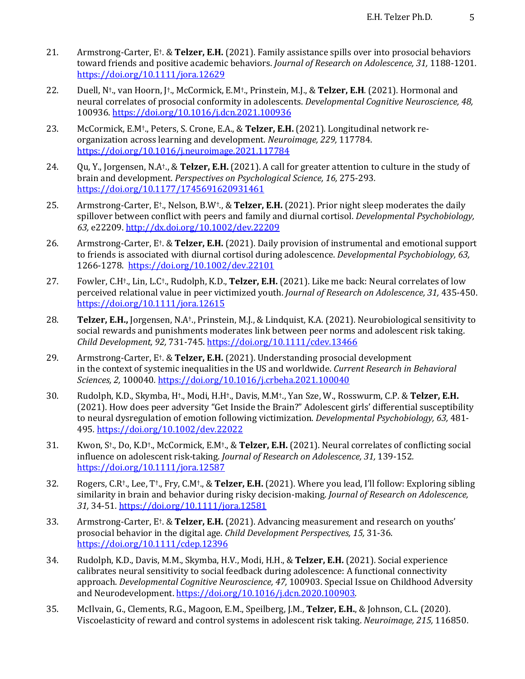- 21. Armstrong-Carter, E<sup>†</sup>. & **Telzer, E.H.** (2021). Family assistance spills over into prosocial behaviors toward friends and positive academic behaviors. *Journal of Research on Adolescence*, 31, 1188-1201. https://doi.org/10.1111/jora.12629
- 22. Duell, N<sup>+</sup>., van Hoorn, I<sup>+</sup>., McCormick, E.M<sup>+</sup>., Prinstein, M.J., & Telzer, E.H. (2021). Hormonal and neural correlates of prosocial conformity in adolescents. *Developmental Cognitive Neuroscience*, 48, 100936. https://doi.org/10.1016/j.dcn.2021.100936
- 23. McCormick, E.M<sup>†</sup>., Peters, S. Crone, E.A., & Telzer, E.H. (2021). Longitudinal network reorganization across learning and development. *Neuroimage, 229, 117784.* https://doi.org/10.1016/j.neuroimage.2021.117784
- 24. Qu, Y., Jorgensen, N.A<sup>+</sup>., & **Telzer, E.H.** (2021). A call for greater attention to culture in the study of brain and development. *Perspectives on Psychological Science*, 16, 275-293. https://doi.org/10.1177/1745691620931461
- 25. Armstrong-Carter, E<sup>†</sup>., Nelson, B.W<sup>†</sup>., & **Telzer, E.H.** (2021). Prior night sleep moderates the daily spillover between conflict with peers and family and diurnal cortisol. *Developmental Psychobiology*, *63,* e22209. http://dx.doi.org/10.1002/dev.22209
- 26. Armstrong-Carter, E<sup>†</sup>. & **Telzer, E.H.** (2021). Daily provision of instrumental and emotional support to friends is associated with diurnal cortisol during adolescence. *Developmental Psychobiology*, 63, 1266-1278. https://doi.org/10.1002/dev.22101
- 27. Fowler, C.H<sup>+</sup>., Lin, L.C<sup>+</sup>., Rudolph, K.D., **Telzer, E.H.** (2021). Like me back: Neural correlates of low perceived relational value in peer victimized youth. *Journal of Research on Adolescence*, 31, 435-450. https://doi.org/10.1111/jora.12615
- 28. **Telzer, E.H.,** Jorgensen, N.A<sup>†</sup>., Prinstein, M.J., & Lindquist, K.A. (2021). Neurobiological sensitivity to social rewards and punishments moderates link between peer norms and adolescent risk taking. *Child Development, 92,* 731-745*.* https://doi.org/10.1111/cdev.13466
- 29. Armstrong-Carter, E<sup>†</sup>. & Telzer, E.H. (2021). Understanding prosocial development in the context of systemic inequalities in the US and worldwide. *Current Research in Behavioral Sciences, 2,* 100040*.* https://doi.org/10.1016/j.crbeha.2021.100040
- 30. Rudolph, K.D., Skymba, H<sup>+</sup>., Modi, H.H<sup>+</sup>., Davis, M.M<sup>+</sup>., Yan Sze, W., Rosswurm, C.P. & Telzer, E.H. (2021). How does peer adversity "Get Inside the Brain?" Adolescent girls' differential susceptibility to neural dysregulation of emotion following victimization. *Developmental Psychobiology, 63, 481-*495*.* https://doi.org/10.1002/dev.22022
- 31. Kwon, S<sup>†</sup>., Do, K.D<sup>†</sup>., McCormick, E.M<sup>†</sup>., & **Telzer, E.H.** (2021). Neural correlates of conflicting social influence on adolescent risk-taking. *Journal of Research on Adolescence, 31*, 139-152. https://doi.org/10.1111/jora.12587
- 32. Rogers, C.R<sup>†</sup>., Lee, T<sup>†</sup>., Fry, C.M<sup>†</sup>., & Telzer, E.H. (2021). Where you lead, I'll follow: Exploring sibling similarity in brain and behavior during risky decision-making. *Journal of Research on Adolescence*, *31,* 34-51*.* https://doi.org/10.1111/jora.12581
- 33. Armstrong-Carter, E<sup>†</sup>. & Telzer, E.H. (2021). Advancing measurement and research on youths' prosocial behavior in the digital age. *Child Development Perspectives*, 15, 31-36. https://doi.org/10.1111/cdep.12396
- 34. Rudolph, K.D., Davis, M.M., Skymba, H.V., Modi, H.H., & Telzer, E.H. (2021). Social experience calibrates neural sensitivity to social feedback during adolescence: A functional connectivity approach. *Developmental Cognitive Neuroscience, 47,* 100903. Special Issue on Childhood Adversity and Neurodevelopment. https://doi.org/10.1016/j.dcn.2020.100903.
- 35. McIlvain, G., Clements, R.G., Magoon, E.M., Speilberg, J.M., Telzer, E.H., & Johnson, C.L. (2020). Viscoelasticity of reward and control systems in adolescent risk taking. *Neuroimage, 215,* 116850.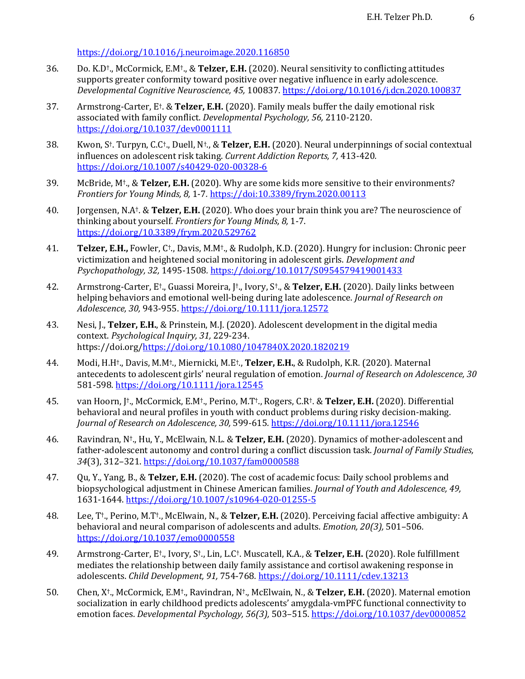#### https://doi.org/10.1016/j.neuroimage.2020.116850

- 36. Do. K.D<sup>†</sup>., McCormick, E.M<sup>†</sup>., & Telzer, E.H. (2020). Neural sensitivity to conflicting attitudes supports greater conformity toward positive over negative influence in early adolescence. *Developmental Cognitive Neuroscience, 45,* 100837. https://doi.org/10.1016/j.dcn.2020.100837
- 37. Armstrong-Carter, E<sup>†</sup>. & **Telzer, E.H.** (2020). Family meals buffer the daily emotional risk associated with family conflict. *Developmental Psychology*, 56, 2110-2120. https://doi.org/10.1037/dev0001111
- 38. Kwon, S<sup>†</sup>. Turpyn, C.C<sup>†</sup>., Duell, N<sup>†</sup>., & **Telzer, E.H.** (2020). Neural underpinnings of social contextual influences on adolescent risk taking. *Current Addiction Reports, 7,* 413-420. https://doi.org/10.1007/s40429-020-00328-6
- 39. McBride,  $M^{\dagger}$ ,  $\&$  Telzer, E.H. (2020). Why are some kids more sensitive to their environments? *Frontiers for Young Minds, 8, 1-7.* https://doi:10.3389/frym.2020.00113
- 40. Jorgensen, N.A<sup>†</sup>. & **Telzer, E.H.** (2020). Who does your brain think you are? The neuroscience of thinking about yourself. *Frontiers for Young Minds, 8, 1-7.* https://doi.org/10.3389/frym.2020.529762
- 41. **Telzer, E.H.,** Fowler, C<sup>†</sup>., Davis, M.M<sup>†</sup>., & Rudolph, K.D. (2020). Hungry for inclusion: Chronic peer victimization and heightened social monitoring in adolescent girls. *Development and Psychopathology, 32,* 1495-1508*.* https://doi.org/10.1017/S0954579419001433
- 42. Armstrong-Carter, E<sup>+</sup>., Guassi Moreira, J<sup>+</sup>., Ivory, S<sup>+</sup>., & **Telzer, E.H.** (2020). Daily links between helping behaviors and emotional well-being during late adolescence. *Journal of Research on Adolescence, 30,* 943-955. https://doi.org/10.1111/jora.12572
- 43. Nesi, J., Telzer, E.H., & Prinstein, M.J. (2020). Adolescent development in the digital media context. *Psychological Inquiry, 31,* 229-234. https://doi.org/https://doi.org/10.1080/1047840X.2020.1820219
- 44. Modi, H.H<sup>†</sup>., Davis, M.M<sup>†</sup>., Miernicki, M.E<sup>†</sup>., Telzer, E.H., & Rudolph, K.R. (2020). Maternal antecedents to adolescent girls' neural regulation of emotion. *Journal of Research on Adolescence, 30* 581-598*.* https://doi.org/10.1111/jora.12545
- 45. van Hoorn, [†., McCormick, E.M†., Perino, M.T†., Rogers, C.R†. & **Telzer, E.H.** (2020). Differential behavioral and neural profiles in youth with conduct problems during risky decision-making. *Journal of Research on Adolescence, 30,* 599-615. https://doi.org/10.1111/jora.12546
- 46. Ravindran, N<sup>†</sup>., Hu, Y., McElwain, N.L. & Telzer, E.H. (2020). Dynamics of mother-adolescent and father-adolescent autonomy and control during a conflict discussion task. *Journal of Family Studies*, 34(3), 312-321. https://doi.org/10.1037/fam0000588
- 47. Qu, Y., Yang, B., & Telzer, E.H. (2020). The cost of academic focus: Daily school problems and biopsychological adjustment in Chinese American families. *Journal of Youth and Adolescence*, 49, 1631-1644. https://doi.org/10.1007/s10964-020-01255-5
- 48. Lee, T<sup>+</sup>., Perino, M.T<sup>+</sup>., McElwain, N., & Telzer, E.H. (2020). Perceiving facial affective ambiguity: A behavioral and neural comparison of adolescents and adults. *Emotion, 20(3),* 501–506. https://doi.org/10.1037/emo0000558
- 49. Armstrong-Carter, E<sup>†</sup>., Ivory, S<sup>†</sup>., Lin, L.C<sup>†</sup>. Muscatell, K.A., & **Telzer, E.H.** (2020). Role fulfillment mediates the relationship between daily family assistance and cortisol awakening response in adolescents. *Child Development, 91,* 754-768*.* https://doi.org/10.1111/cdev.13213
- 50. Chen, X<sup>†</sup>., McCormick, E.M<sup>†</sup>., Ravindran, N<sup>†</sup>., McElwain, N., & Telzer, E.H. (2020). Maternal emotion socialization in early childhood predicts adolescents' amygdala-vmPFC functional connectivity to emotion faces. *Developmental Psychology, 56(3)*, 503-515. https://doi.org/10.1037/dev0000852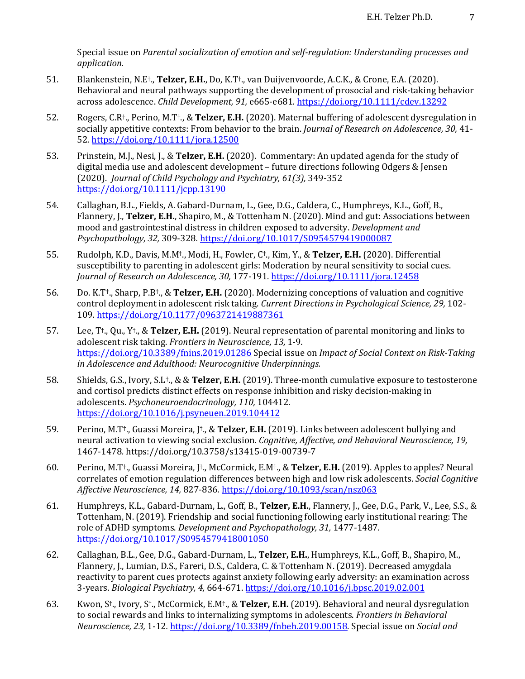Special issue on *Parental socialization of emotion and self-regulation: Understanding processes and application.*

- 51. Blankenstein, N.E<sup>†</sup>., **Telzer, E.H.**, Do, K.T<sup>†</sup>., van Duijvenvoorde, A.C.K., & Crone, E.A. (2020). Behavioral and neural pathways supporting the development of prosocial and risk-taking behavior across adolescence. *Child Development,* 91, e665-e681. https://doi.org/10.1111/cdev.13292
- 52. Rogers, C.R<sup>†</sup>., Perino, M.T<sup>+</sup>., & **Telzer, E.H.** (2020). Maternal buffering of adolescent dysregulation in socially appetitive contexts: From behavior to the brain. *Journal of Research on Adolescence, 30,* 41-52*.* https://doi.org/10.1111/jora.12500
- 53. Prinstein, M.J., Nesi, J., & Telzer, E.H. (2020). Commentary: An updated agenda for the study of digital media use and adolescent development – future directions following Odgers & Jensen (2020). *Journal of Child Psychology and Psychiatry, 61(3), 349-352* https://doi.org/10.1111/jcpp.13190
- 54. Callaghan, B.L., Fields, A. Gabard-Durnam, L., Gee, D.G., Caldera, C., Humphreys, K.L., Goff, B., Flannery, J., Telzer, E.H., Shapiro, M., & Tottenham N. (2020). Mind and gut: Associations between mood and gastrointestinal distress in children exposed to adversity. *Development and Psychopathology, 32,* 309-328*.* https://doi.org/10.1017/S0954579419000087
- 55. Rudolph, K.D., Davis, M.M<sup>†</sup>., Modi, H., Fowler, C<sup>†</sup>., Kim, Y., & Telzer, E.H. (2020). Differential susceptibility to parenting in adolescent girls: Moderation by neural sensitivity to social cues. Journal of Research on Adolescence, 30, 177-191. https://doi.org/10.1111/jora.12458
- 56. Do. K.T<sup>+</sup>., Sharp, P.B<sup>+</sup>., & Telzer, E.H. (2020). Modernizing conceptions of valuation and cognitive control deployment in adolescent risk taking. *Current Directions in Psychological Science, 29,* 102-109*.* https://doi.org/10.1177/0963721419887361
- 57. Lee, T<sup>+</sup>., Qu., Y<sup>+</sup>., & **Telzer, E.H.** (2019). Neural representation of parental monitoring and links to adolescent risk taking. *Frontiers in Neuroscience*, 13, 1-9. https://doi.org/10.3389/fnins.2019.01286 Special issue on *Impact of Social Context on Risk-Taking* in Adolescence and Adulthood: Neurocognitive Underpinnings.
- 58. Shields, G.S., Ivory, S.L<sup>†</sup>., & & **Telzer, E.H.** (2019). Three-month cumulative exposure to testosterone and cortisol predicts distinct effects on response inhibition and risky decision-making in adolescents. *Psychoneuroendocrinology, 110,* 104412*.* https://doi.org/10.1016/j.psyneuen.2019.104412
- 59. Perino, M.T<sup>+</sup>., Guassi Moreira, J<sup>+</sup>., & Telzer, E.H. (2019). Links between adolescent bullying and neural activation to viewing social exclusion. *Cognitive, Affective, and Behavioral Neuroscience, 19,* 1467-1478*.* https://doi.org/10.3758/s13415-019-00739-7
- 60. Perino, M.T<sup>†</sup>., Guassi Moreira, [<sup>†</sup>., McCormick, E.M<sup>†</sup>., & **Telzer, E.H.** (2019). Apples to apples? Neural correlates of emotion regulation differences between high and low risk adolescents. *Social Cognitive Affective Neuroscience, 14,* 827-836*.* https://doi.org/10.1093/scan/nsz063
- 61. Humphreys, K.L., Gabard-Durnam, L., Goff, B., Telzer, E.H., Flannery, J., Gee, D.G., Park, V., Lee, S.S., & Tottenham, N. (2019). Friendship and social functioning following early institutional rearing: The role of ADHD symptoms. *Development and Psychopathology, 31, 1477-1487.* https://doi.org/10.1017/S0954579418001050
- 62. Callaghan, B.L., Gee, D.G., Gabard-Durnam, L., Telzer, E.H., Humphreys, K.L., Goff, B., Shapiro, M., Flannery, J., Lumian, D.S., Fareri, D.S., Caldera, C. & Tottenham N. (2019). Decreased amygdala reactivity to parent cues protects against anxiety following early adversity: an examination across 3-years. *Biological Psychiatry, 4,* 664-671. https://doi.org/10.1016/j.bpsc.2019.02.001
- 63. Kwon, S<sup>†</sup>., Ivory, S<sup>†</sup>., McCormick, E.M<sup>†</sup>., & Telzer, E.H. (2019). Behavioral and neural dysregulation to social rewards and links to internalizing symptoms in adolescents. *Frontiers in Behavioral Neuroscience, 23, 1-12.* https://doi.org/10.3389/fnbeh.2019.00158. Special issue on *Social and*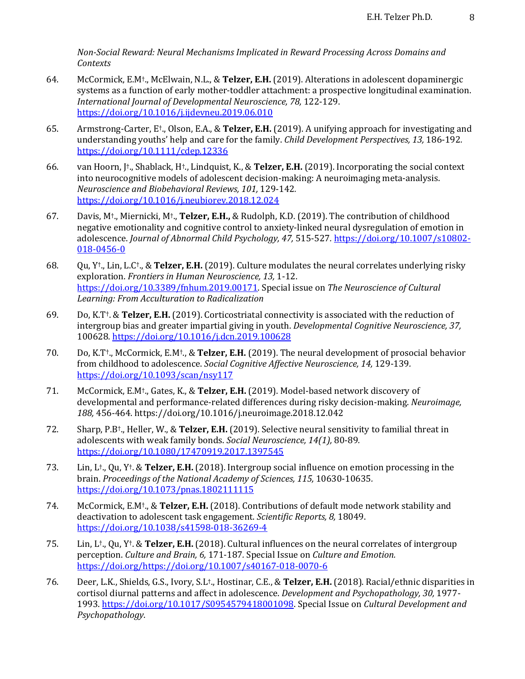Non-Social Reward: Neural Mechanisms Implicated in Reward Processing Across Domains and *Contexts*

- 64. McCormick, E.M<sup>†</sup>., McElwain, N.L., & Telzer, E.H. (2019). Alterations in adolescent dopaminergic systems as a function of early mother-toddler attachment: a prospective longitudinal examination. *International Journal of Developmental Neuroscience, 78,* 122-129. https://doi.org/10.1016/j.ijdevneu.2019.06.010
- 65. Armstrong-Carter, E<sup>†</sup>., Olson, E.A., & **Telzer, E.H.** (2019). A unifying approach for investigating and understanding youths' help and care for the family. *Child Development Perspectives*, 13, 186-192. https://doi.org/10.1111/cdep.12336
- 66. van Hoorn,  $\uparrow$ ., Shablack, H<sup>†</sup>., Lindquist, K., & **Telzer, E.H.** (2019). Incorporating the social context into neurocognitive models of adolescent decision-making: A neuroimaging meta-analysis. *Neuroscience and Biobehavioral Reviews, 101, 129-142.* https://doi.org/10.1016/j.neubiorev.2018.12.024
- 67. Davis, M<sup>†</sup>., Miernicki, M<sup>†</sup>., **Telzer, E.H.,** & Rudolph, K.D. (2019). The contribution of childhood negative emotionality and cognitive control to anxiety-linked neural dysregulation of emotion in adolescence. *Journal of Abnormal Child Psychology, 47,* 515-527. https://doi.org/10.1007/s10802-018-0456-0
- 68. Qu, Y<sup>†</sup>., Lin, L.C<sup>†</sup>., & **Telzer, E.H.** (2019). Culture modulates the neural correlates underlying risky exploration. *Frontiers in Human Neuroscience*, 13, 1-12. https://doi.org/10.3389/fnhum.2019.00171</u>. Special issue on The Neuroscience of Cultural *Learning: From Acculturation to Radicalization*
- 69. Do, K.T<sup>+</sup>. & **Telzer, E.H.** (2019). Corticostriatal connectivity is associated with the reduction of intergroup bias and greater impartial giving in youth. *Developmental Cognitive Neuroscience*, 37, 100628*.* https://doi.org/10.1016/j.dcn.2019.100628
- 70. Do, K.T<sup>+</sup>., McCormick, E.M<sup>+</sup>., & Telzer, E.H. (2019). The neural development of prosocial behavior from childhood to adolescence. *Social Cognitive Affective Neuroscience*, 14, 129-139. https://doi.org/10.1093/scan/nsy117
- 71. McCormick, E.M<sup>†</sup>., Gates, K., & Telzer, E.H. (2019). Model-based network discovery of developmental and performance-related differences during risky decision-making. *Neuroimage*, *188,* 456-464. https://doi.org/10.1016/j.neuroimage.2018.12.042
- 72. Sharp, P.B<sup>†</sup>., Heller, W., & Telzer, E.H. (2019). Selective neural sensitivity to familial threat in adolescents with weak family bonds. *Social Neuroscience*, 14(1), 80-89. https://doi.org/10.1080/17470919.2017.1397545
- 73. Lin, L<sup>†</sup>., Qu, Y<sup>†</sup>. & **Telzer, E.H.** (2018). Intergroup social influence on emotion processing in the brain. *Proceedings of the National Academy of Sciences, 115, 10630-10635.* https://doi.org/10.1073/pnas.1802111115
- 74. McCormick, E.M<sup>†</sup>., & Telzer, E.H. (2018). Contributions of default mode network stability and deactivation to adolescent task engagement. *Scientific Reports, 8,* 18049. https://doi.org/10.1038/s41598-018-36269-4
- 75. Lin, L<sup>+</sup>., Qu, Y<sup>+</sup>. & **Telzer, E.H.** (2018). Cultural influences on the neural correlates of intergroup perception. *Culture and Brain, 6, 171-187.* Special Issue on *Culture and Emotion.* https://doi.org/https://doi.org/10.1007/s40167-018-0070-6
- 76. Deer, L.K., Shields, G.S., Ivory, S.L<sup>+</sup>., Hostinar, C.E., & **Telzer, E.H.** (2018). Racial/ethnic disparities in cortisol diurnal patterns and affect in adolescence. *Development and Psychopathology*, 30, 1977-1993. https://doi.org/10.1017/S0954579418001098. Special Issue on *Cultural Development and Psychopathology*.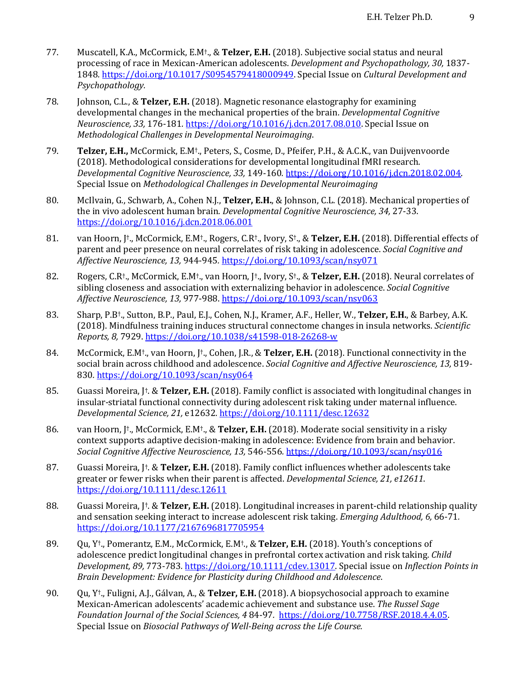- 77. Muscatell, K.A., McCormick, E.M<sup>†</sup>., & Telzer, E.H. (2018). Subjective social status and neural processing of race in Mexican-American adolescents. *Development and Psychopathology, 30,* 1837-1848. https://doi.org/10.1017/S0954579418000949. Special Issue on *Cultural Development and Psychopathology.*
- 78. **Johnson, C.L., & Telzer, E.H.** (2018). Magnetic resonance elastography for examining developmental changes in the mechanical properties of the brain. *Developmental Cognitive Neuroscience, 33,* 176-181*.* https://doi.org/10.1016/j.dcn.2017.08.010. Special Issue on *Methodological Challenges in Developmental Neuroimaging*.
- 79. **Telzer, E.H.,** McCormick, E.M<sup>†</sup>., Peters, S., Cosme, D., Pfeifer, P.H., & A.C.K., van Duijvenvoorde (2018). Methodological considerations for developmental longitudinal fMRI research. *Developmental Cognitive Neuroscience, 33,* 149-160*.* https://doi.org/10.1016/j.dcn.2018.02.004. Special Issue on *Methodological Challenges in Developmental Neuroimaging*
- 80. McIlvain, G., Schwarb, A., Cohen N.J., Telzer, E.H., & Johnson, C.L. (2018). Mechanical properties of the in vivo adolescent human brain. *Developmental Cognitive Neuroscience*, 34, 27-33. https://doi.org/10.1016/j.dcn.2018.06.001
- 81. van Hoorn, J<sup>†</sup>., McCormick, E.M<sup>†</sup>., Rogers, C.R<sup>†</sup>., Ivory, S<sup>†</sup>., & Telzer, E.H. (2018). Differential effects of parent and peer presence on neural correlates of risk taking in adolescence. *Social Cognitive and Affective Neuroscience, 13,* 944-945*.* https://doi.org/10.1093/scan/nsy071
- 82. Rogers, C.R<sup>†</sup>., McCormick, E.M<sup>†</sup>., van Hoorn, [<sup>†</sup>., Ivory, S<sup>†</sup>., & **Telzer, E.H.** (2018). Neural correlates of sibling closeness and association with externalizing behavior in adolescence. *Social Cognitive Affective Neuroscience, 13,* 977-988. https://doi.org/10.1093/scan/nsy063
- 83. Sharp, P.B<sup>†</sup>., Sutton, B.P., Paul, E.J., Cohen, N.J., Kramer, A.F., Heller, W., Telzer, E.H., & Barbey, A.K. (2018). Mindfulness training induces structural connectome changes in insula networks. *Scientific Reports, 8,* 7929. https://doi.org/10.1038/s41598-018-26268-w
- 84. McCormick, E.M<sup>†</sup>., van Hoorn, J<sup>†</sup>., Cohen, J.R., & Telzer, E.H. (2018). Functional connectivity in the social brain across childhood and adolescence. *Social Cognitive and Affective Neuroscience*, 13, 819-830*.* https://doi.org/10.1093/scan/nsy064
- 85. Guassi Moreira, [t. & **Telzer, E.H.** (2018). Family conflict is associated with longitudinal changes in insular-striatal functional connectivity during adolescent risk taking under maternal influence. *Developmental Science, 21,* e12632*.* https://doi.org/10.1111/desc.12632
- 86. van Hoorn, J<sup>†</sup>., McCormick, E.M<sup>†</sup>., & Telzer, E.H. (2018). Moderate social sensitivity in a risky context supports adaptive decision-making in adolescence: Evidence from brain and behavior. *Social Cognitive Affective Neuroscience, 13,* 546-556*.* https://doi.org/10.1093/scan/nsy016
- 87. Guassi Moreira, J<sup>†</sup>. & Telzer, E.H. (2018). Family conflict influences whether adolescents take greater or fewer risks when their parent is affected. *Developmental Science*, 21, e12611. https://doi.org/10.1111/desc.12611
- 88. Guassi Moreira, I<sup>†</sup>. & **Telzer, E.H.** (2018). Longitudinal increases in parent-child relationship quality and sensation seeking interact to increase adolescent risk taking. *Emerging Adulthood, 6, 66-71.* https://doi.org/10.1177/2167696817705954
- 89. Qu, Y<sup>+</sup>., Pomerantz, E.M., McCormick, E.M<sup>+</sup>., & Telzer, E.H. (2018). Youth's conceptions of adolescence predict longitudinal changes in prefrontal cortex activation and risk taking. *Child Development, 89, 773-783.* https://doi.org/10.1111/cdev.13017. Special issue on Inflection Points in *Brain Development: Evidence for Plasticity during Childhood and Adolescence*.
- 90. Qu, Y<sup>†</sup>., Fuligni, A.J., Gálvan, A., & **Telzer, E.H.** (2018). A biopsychosocial approach to examine Mexican-American adolescents' academic achievement and substance use. The Russel Sage *Foundation Journal of the Social Sciences,* 4 84-97. https://doi.org/10.7758/RSF.2018.4.4.05. Special Issue on *Biosocial Pathways of Well-Being across the Life Course.*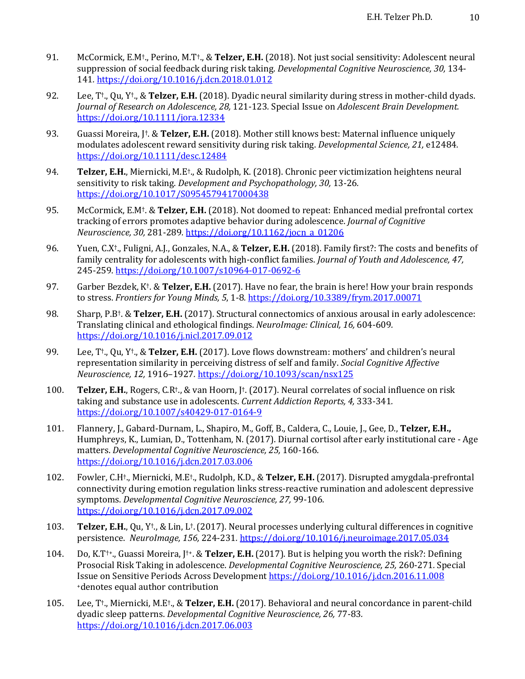- 91. McCormick, E.M<sup>†</sup>., Perino, M.T<sup>†</sup>., & Telzer, E.H. (2018). Not just social sensitivity: Adolescent neural suppression of social feedback during risk taking. *Developmental Cognitive Neuroscience*, 30, 134-141*.* https://doi.org/10.1016/j.dcn.2018.01.012
- 92. Lee, T<sup>+</sup>., Qu, Y<sup>+</sup>., & **Telzer, E.H.** (2018). Dyadic neural similarity during stress in mother-child dyads. *Journal of Research on Adolescence, 28, 121-123. Special Issue on Adolescent Brain Development.* https://doi.org/10.1111/jora.12334
- 93. Guassi Moreira,  $\uparrow$ : & Telzer, E.H. (2018). Mother still knows best: Maternal influence uniquely modulates adolescent reward sensitivity during risk taking. *Developmental Science*, 21, e12484. https://doi.org/10.1111/desc.12484
- 94. **Telzer, E.H.**, Miernicki, M.E<sup>†</sup>., & Rudolph, K. (2018). Chronic peer victimization heightens neural sensitivity to risk taking. *Development and Psychopathology, 30, 13-26.* https://doi.org/10.1017/S0954579417000438
- 95. McCormick, E.M<sup>†</sup>. & Telzer, E.H. (2018). Not doomed to repeat: Enhanced medial prefrontal cortex tracking of errors promotes adaptive behavior during adolescence. *Journal of Cognitive Neuroscience, 30,* 281-289*.* https://doi.org/10.1162/jocn\_a\_01206
- 96. Yuen, C.X<sup>†</sup>., Fuligni, A.J., Gonzales, N.A., & Telzer, E.H. (2018). Family first?: The costs and benefits of family centrality for adolescents with high-conflict families. *Journal of Youth and Adolescence*, 47, 245-259*.* https://doi.org/10.1007/s10964-017-0692-6
- 97. Garber Bezdek, K<sup>†</sup>. & **Telzer, E.H.** (2017). Have no fear, the brain is here! How your brain responds to stress. Frontiers for Young Minds, 5, 1-8. https://doi.org/10.3389/frym.2017.00071
- 98. Sharp, P.B<sup>†</sup>. & **Telzer, E.H.** (2017). Structural connectomics of anxious arousal in early adolescence: Translating clinical and ethological findings. *NeuroImage: Clinical, 16, 604-609.* https://doi.org/10.1016/j.nicl.2017.09.012
- 99. Lee, T<sup>+</sup>., Qu, Y<sup>+</sup>., & **Telzer, E.H.** (2017). Love flows downstream: mothers' and children's neural representation similarity in perceiving distress of self and family. *Social Cognitive Affective Neuroscience, 12,* 1916–1927*.* https://doi.org/10.1093/scan/nsx125
- 100. **Telzer, E.H.**, Rogers, C.R<sup>†</sup>., & van Hoorn, J<sup>†</sup>. (2017). Neural correlates of social influence on risk taking and substance use in adolescents. *Current Addiction Reports, 4,* 333-341. https://doi.org/10.1007/s40429-017-0164-9
- 101. Flannery, J., Gabard-Durnam, L., Shapiro, M., Goff, B., Caldera, C., Louie, J., Gee, D., Telzer, E.H., Humphreys, K., Lumian, D., Tottenham, N. (2017). Diurnal cortisol after early institutional care - Age matters. *Developmental Cognitive Neuroscience, 25,* 160-166. https://doi.org/10.1016/j.dcn.2017.03.006
- 102. Fowler, C.H<sup>+</sup>., Miernicki, M.E<sup>+</sup>., Rudolph, K.D., & Telzer, E.H. (2017). Disrupted amygdala-prefrontal connectivity during emotion regulation links stress-reactive rumination and adolescent depressive symptoms. *Developmental Cognitive Neuroscience*, 27, 99-106. https://doi.org/10.1016/j.dcn.2017.09.002
- 103. **Telzer, E.H.**, Qu, Y<sup>+</sup>., & Lin, L<sup>+</sup>. (2017). Neural processes underlying cultural differences in cognitive persistence. *NeuroImage, 156,* 224-231*.* https://doi.org/10.1016/j.neuroimage.2017.05.034
- 104. Do, K.T<sup>++</sup>., Guassi Moreira, I<sup>++</sup>. & **Telzer, E.H.** (2017). But is helping you worth the risk?: Defining Prosocial Risk Taking in adolescence. *Developmental Cognitive Neuroscience*, 25, 260-271. Special Issue on Sensitive Periods Across Development https://doi.org/10.1016/j.dcn.2016.11.008 +denotes equal author contribution
- 105. Lee, T<sup>+</sup>., Miernicki, M.E<sup>+</sup>., & Telzer, E.H. (2017). Behavioral and neural concordance in parent-child dyadic sleep patterns. *Developmental Cognitive Neuroscience, 26,* 77-83*.* https://doi.org/10.1016/j.dcn.2017.06.003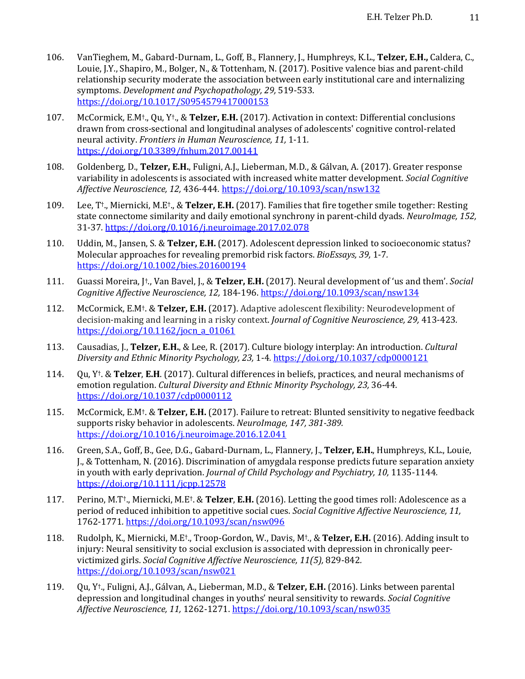- 106. VanTieghem, M., Gabard-Durnam, L., Goff, B., Flannery, J., Humphreys, K.L., Telzer, E.H., Caldera, C., Louie, J.Y., Shapiro, M., Bolger, N., & Tottenham, N. (2017). Positive valence bias and parent-child relationship security moderate the association between early institutional care and internalizing symptoms. *Development and Psychopathology, 29,* 519-533. https://doi.org/10.1017/S0954579417000153
- 107. McCormick, E.M<sup>†</sup>., Qu, Y<sup>†</sup>., & Telzer, E.H. (2017). Activation in context: Differential conclusions drawn from cross-sectional and longitudinal analyses of adolescents' cognitive control-related neural activity. *Frontiers in Human Neuroscience*, 11, 1-11. https://doi.org/10.3389/fnhum.2017.00141
- 108. Goldenberg, D., **Telzer, E.H.**, Fuligni, A.J., Lieberman, M.D., & Gálvan, A. (2017). Greater response variability in adolescents is associated with increased white matter development. *Social Cognitive Affective Neuroscience, 12,* 436-444*.* https://doi.org/10.1093/scan/nsw132
- 109. Lee, T<sup>+</sup>., Miernicki, M.E<sup>+</sup>., & Telzer, E.H. (2017). Families that fire together smile together: Resting state connectome similarity and daily emotional synchrony in parent-child dyads. *NeuroImage*, 152, 31-37*.* https://doi.org/0.1016/j.neuroimage.2017.02.078
- 110. Uddin, M., Jansen, S. & Telzer, E.H. (2017). Adolescent depression linked to socioeconomic status? Molecular approaches for revealing premorbid risk factors. *BioEssays*, 39, 1-7. https://doi.org/10.1002/bies.201600194
- 111. Guassi Moreira, J<sup>†</sup>., Van Bavel, J., & Telzer, E.H. (2017). Neural development of 'us and them'. *Social Cognitive Affective Neuroscience, 12,* 184-196. https://doi.org/10.1093/scan/nsw134
- 112. McCormick, E.M<sup>†</sup>. & Telzer, E.H. (2017). Adaptive adolescent flexibility: Neurodevelopment of decision-making and learning in a risky context. *Journal of Cognitive Neuroscience, 29,* 413-423. https://doi.org/10.1162/jocn\_a\_01061
- 113. Causadias, J., Telzer, E.H., & Lee, R. (2017). Culture biology interplay: An introduction. *Cultural* Diversity and Ethnic Minority Psychology, 23, 1-4. https://doi.org/10.1037/cdp0000121
- 114. Qu, Y<sup>†</sup>. & **Telzer, E.H.** (2017). Cultural differences in beliefs, practices, and neural mechanisms of emotion regulation. *Cultural Diversity and Ethnic Minority Psychology, 23, 36-44.* https://doi.org/10.1037/cdp0000112
- 115. McCormick, E.M<sup>†</sup>. & **Telzer, E.H.** (2017). Failure to retreat: Blunted sensitivity to negative feedback supports risky behavior in adolescents. *NeuroImage*, 147, 381-389. https://doi.org/10.1016/j.neuroimage.2016.12.041
- 116. Green, S.A., Goff, B., Gee, D.G., Gabard-Durnam, L., Flannery, J., Telzer, E.H., Humphreys, K.L., Louie, J., & Tottenham, N. (2016). Discrimination of amygdala response predicts future separation anxiety in vouth with early deprivation. *Journal of Child Psychology and Psychiatry, 10,* 1135-1144. https://doi.org/10.1111/jcpp.12578
- 117. Perino, M.T<sup>+</sup>., Miernicki, M.E<sup>+</sup>. & Telzer, E.H. (2016). Letting the good times roll: Adolescence as a period of reduced inhibition to appetitive social cues. *Social Cognitive Affective Neuroscience*, 11, 1762-1771*.* https://doi.org/10.1093/scan/nsw096
- 118. Rudolph, K., Miernicki, M.E<sup>†</sup>., Troop-Gordon, W., Davis, M<sup>†</sup>., & Telzer, E.H. (2016). Adding insult to injury: Neural sensitivity to social exclusion is associated with depression in chronically peervictimized girls. *Social Cognitive Affective Neuroscience, 11(5),* 829-842*.* https://doi.org/10.1093/scan/nsw021
- 119. Qu, Y<sup>+</sup>., Fuligni, A.J., Gálvan, A., Lieberman, M.D., & Telzer, E.H. (2016). Links between parental depression and longitudinal changes in youths' neural sensitivity to rewards. *Social Cognitive Affective Neuroscience, 11,* 1262-1271. https://doi.org/10.1093/scan/nsw035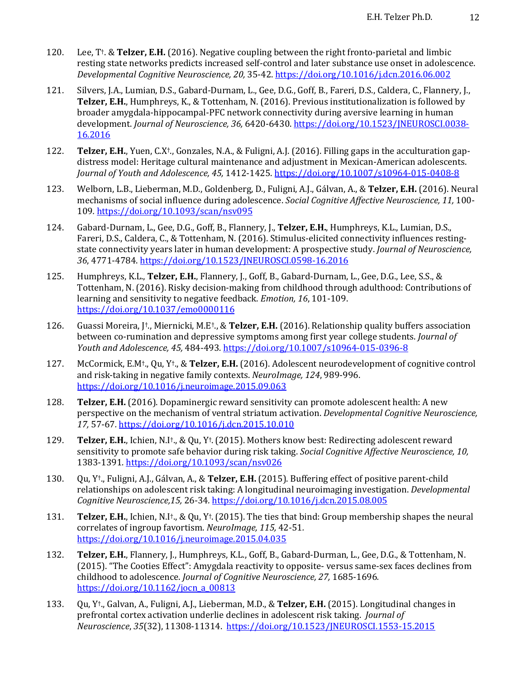- 120. Lee, T<sup>†</sup>. & **Telzer, E.H.** (2016). Negative coupling between the right fronto-parietal and limbic resting state networks predicts increased self-control and later substance use onset in adolescence. *Developmental Cognitive Neuroscience, 20,* 35-42. https://doi.org/10.1016/j.dcn.2016.06.002
- 121. Silvers, J.A., Lumian, D.S., Gabard-Durnam, L., Gee, D.G., Goff, B., Fareri, D.S., Caldera, C., Flannery, J., **Telzer, E.H.**, Humphreys, K., & Tottenham, N. (2016). Previous institutionalization is followed by broader amygdala-hippocampal-PFC network connectivity during aversive learning in human development. *Journal of Neuroscience, 36, 6420-6430.* https://doi.org/10.1523/JNEUROSCI.0038-16.2016
- 122. **Telzer, E.H.**, Yuen, C.X<sup>†</sup>., Gonzales, N.A., & Fuligni, A.J. (2016). Filling gaps in the acculturation gapdistress model: Heritage cultural maintenance and adjustment in Mexican-American adolescents. *Journal of Youth and Adolescence, 45,* 1412-1425. https://doi.org/10.1007/s10964-015-0408-8
- 123. Welborn, L.B., Lieberman, M.D., Goldenberg, D., Fuligni, A.J., Gálvan, A., & Telzer, E.H. (2016). Neural mechanisms of social influence during adolescence. *Social Cognitive Affective Neuroscience, 11*, 100-109*.* https://doi.org/10.1093/scan/nsv095
- 124. Gabard-Durnam, L., Gee, D.G., Goff, B., Flannery, J., Telzer, E.H., Humphreys, K.L., Lumian, D.S., Fareri, D.S., Caldera, C., & Tottenham, N. (2016). Stimulus-elicited connectivity influences restingstate connectivity years later in human development: A prospective study. *Journal of Neuroscience*, *36*, 4771-4784. https://doi.org/10.1523/JNEUROSCI.0598-16.2016
- 125. Humphreys, K.L., Telzer, E.H., Flannery, J., Goff, B., Gabard-Durnam, L., Gee, D.G., Lee, S.S., & Tottenham, N. (2016). Risky decision-making from childhood through adulthood: Contributions of learning and sensitivity to negative feedback. *Emotion*, 16, 101-109. https://doi.org/10.1037/emo0000116
- 126. Guassi Moreira, J<sup>†</sup>., Miernicki, M.E<sup>†</sup>., & **Telzer, E.H.** (2016). Relationship quality buffers association between co-rumination and depressive symptoms among first year college students. *Journal of Youth and Adolescence, 45,* 484-493*.* https://doi.org/10.1007/s10964-015-0396-8
- 127. McCormick, E.M<sup>†</sup>., Qu, Y<sup>†</sup>., & Telzer, E.H. (2016). Adolescent neurodevelopment of cognitive control and risk-taking in negative family contexts. *NeuroImage*, 124, 989-996. https://doi.org/10.1016/j.neuroimage.2015.09.063
- 128. **Telzer, E.H.** (2016). Dopaminergic reward sensitivity can promote adolescent health: A new perspective on the mechanism of ventral striatum activation. *Developmental Cognitive Neuroscience*, *17,* 57-67*.* https://doi.org/10.1016/j.dcn.2015.10.010
- 129. **Telzer, E.H.**, Ichien, N.I<sup>†</sup>., & Qu, Y<sup>†</sup>. (2015). Mothers know best: Redirecting adolescent reward sensitivity to promote safe behavior during risk taking. *Social Cognitive Affective Neuroscience*, 10, 1383-1391*.* https://doi.org/10.1093/scan/nsv026
- 130. Qu, Y<sup>†</sup>., Fuligni, A.J., Gálvan, A., & **Telzer, E.H.** (2015). Buffering effect of positive parent-child relationships on adolescent risk taking: A longitudinal neuroimaging investigation. *Developmental Cognitive Neuroscience,15,* 26-34*.* https://doi.org/10.1016/j.dcn.2015.08.005
- 131. **Telzer, E.H.**, Ichien, N.I<sup>†</sup>., & Qu, Y<sup>†</sup>. (2015). The ties that bind: Group membership shapes the neural correlates of ingroup favortism. *NeuroImage*, 115, 42-51. https://doi.org/10.1016/j.neuroimage.2015.04.035
- 132. **Telzer, E.H.**, Flannery, J., Humphreys, K.L., Goff, B., Gabard-Durman, L., Gee, D.G., & Tottenham, N. (2015). "The Cooties Effect": Amygdala reactivity to opposite- versus same-sex faces declines from childhood to adolescence. *Journal of Cognitive Neuroscience*, 27, 1685-1696. https://doi.org/10.1162/jocn\_a\_00813
- 133. Qu, Y<sup>+</sup>., Galvan, A., Fuligni, A.J., Lieberman, M.D., & Telzer, E.H. (2015). Longitudinal changes in prefrontal cortex activation underlie declines in adolescent risk taking. *Journal of Neuroscience*, *35*(32), 11308-11314. https://doi.org/10.1523/JNEUROSCI.1553-15.2015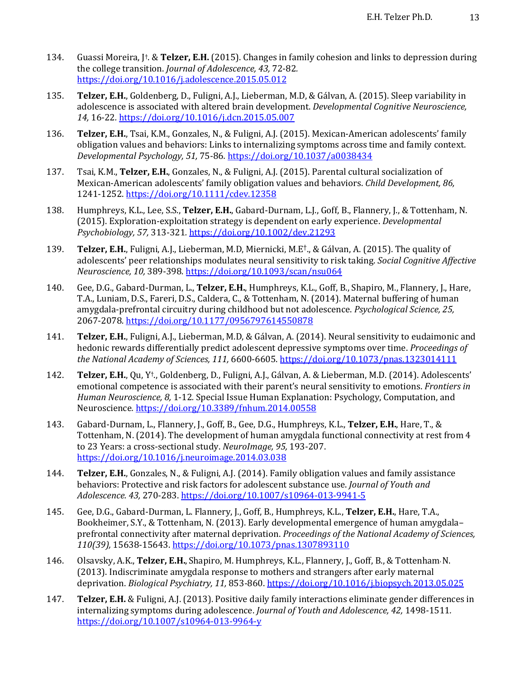- 134. Guassi Moreira, J<sup>†</sup>. & **Telzer, E.H.** (2015). Changes in family cohesion and links to depression during the college transition. *Journal of Adolescence*, 43, 72-82. https://doi.org/10.1016/j.adolescence.2015.05.012
- 135. **Telzer, E.H.**, Goldenberg, D., Fuligni, A.J., Lieberman, M.D, & Gálvan, A. (2015). Sleep variability in adolescence is associated with altered brain development. *Developmental Cognitive Neuroscience*, *14,* 16-22*.* https://doi.org/10.1016/j.dcn.2015.05.007
- 136. **Telzer, E.H.**, Tsai, K.M., Gonzales, N., & Fuligni, A.J. (2015). Mexican-American adolescents' family obligation values and behaviors: Links to internalizing symptoms across time and family context. *Developmental Psychology, 51,* 75-86*.* https://doi.org/10.1037/a0038434
- 137. Tsai, K.M., Telzer, E.H., Gonzales, N., & Fuligni, A.J. (2015). Parental cultural socialization of Mexican-American adolescents' family obligation values and behaviors. *Child Development, 86,* 1241-1252. https://doi.org/10.1111/cdev.12358
- 138. Humphreys, K.L., Lee, S.S., **Telzer, E.H.**, Gabard-Durnam, L.J., Goff, B., Flannery, J., & Tottenham, N. (2015). Exploration-exploitation strategy is dependent on early experience. *Developmental Psychobiology, 57,* 313-321*.* https://doi.org/10.1002/dev.21293
- 139. **Telzer, E.H.**, Fuligni, A.J., Lieberman, M.D, Miernicki, M.E<sup>†</sup>., & Gálvan, A. (2015). The quality of adolescents' peer relationships modulates neural sensitivity to risk taking. *Social Cognitive Affective Neuroscience, 10,* 389-398*.* https://doi.org/10.1093/scan/nsu064
- 140. Gee, D.G., Gabard-Durman, L., Telzer, E.H., Humphreys, K.L., Goff, B., Shapiro, M., Flannery, J., Hare, T.A., Luniam, D.S., Fareri, D.S., Caldera, C., & Tottenham, N. (2014). Maternal buffering of human amygdala-prefrontal circuitry during childhood but not adolescence. *Psychological Science, 25,* 2067-2078*.* https://doi.org/10.1177/0956797614550878
- 141. **Telzer, E.H.**, Fuligni, A.J., Lieberman, M.D, & Gálvan, A. (2014). Neural sensitivity to eudaimonic and hedonic rewards differentially predict adolescent depressive symptoms over time. *Proceedings of the National Academy of Sciences, 111, 6600-6605. https://doi.org/10.1073/pnas.1323014111*
- 142. **Telzer, E.H.**, Qu, Y<sup>+</sup>., Goldenberg, D., Fuligni, A.J., Gálvan, A. & Lieberman, M.D. (2014). Adolescents' emotional competence is associated with their parent's neural sensitivity to emotions. *Frontiers in Human Neuroscience, 8,* 1-12. Special Issue Human Explanation: Psychology, Computation, and Neuroscience*.* https://doi.org/10.3389/fnhum.2014.00558
- 143. Gabard-Durnam, L., Flannery, J., Goff, B., Gee, D.G., Humphreys, K.L., Telzer, E.H., Hare, T., & Tottenham, N. (2014). The development of human amygdala functional connectivity at rest from  $4$ to 23 Years: a cross-sectional study. *NeuroImage*, 95, 193-207. https://doi.org/10.1016/j.neuroimage.2014.03.038
- 144. **Telzer, E.H.**, Gonzales, N., & Fuligni, A.J. (2014). Family obligation values and family assistance behaviors: Protective and risk factors for adolescent substance use. *Journal of Youth and Adolescence. 43,* 270-283. https://doi.org/10.1007/s10964-013-9941-5
- 145. Gee, D.G., Gabard-Durman, L. Flannery, J., Goff, B., Humphreys, K.L., Telzer, E.H., Hare, T.A., Bookheimer, S.Y., & Tottenham, N. (2013). Early developmental emergence of human amvgdalaprefrontal connectivity after maternal deprivation. *Proceedings of the National Academy of Sciences*, *110(39),* 15638-15643. https://doi.org/10.1073/pnas.1307893110
- 146. Olsavsky, A.K., **Telzer, E.H.**, Shapiro, M. Humphreys, K.L., Flannery, J., Goff, B., & Tottenham N. (2013). Indiscriminate amygdala response to mothers and strangers after early maternal deprivation. *Biological Psychiatry, 11,* 853-860. https://doi.org/10.1016/j.biopsych.2013.05.025
- 147. **Telzer, E.H.** & Fuligni, A.J. (2013). Positive daily family interactions eliminate gender differences in internalizing symptoms during adolescence. *Journal of Youth and Adolescence, 42*, 1498-1511. https://doi.org/10.1007/s10964-013-9964-y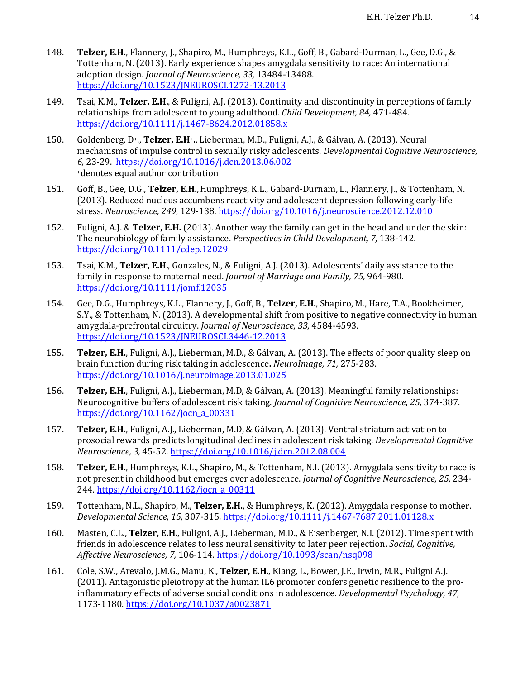- 148. **Telzer, E.H.**, Flannery, J., Shapiro, M., Humphreys, K.L., Goff, B., Gabard-Durman, L., Gee, D.G., & Tottenham, N. (2013). Early experience shapes amygdala sensitivity to race: An international adoption design. *Journal of Neuroscience*, 33, 13484-13488. https://doi.org/10.1523/JNEUROSCI.1272-13.2013
- 149. Tsai, K.M., **Telzer, E.H.**, & Fuligni, A.J. (2013). Continuity and discontinuity in perceptions of family relationships from adolescent to young adulthood. *Child Development, 84, 471-484.* https://doi.org/10.1111/j.1467-8624.2012.01858.x
- 150. Goldenberg, D<sup>+</sup>., **Telzer, E.H**<sup>+</sup>., Lieberman, M.D., Fuligni, A.J., & Gálvan, A. (2013). Neural mechanisms of impulse control in sexually risky adolescents. *Developmental Cognitive Neuroscience*, *6,* 23-29. https://doi.org/10.1016/j.dcn.2013.06.002 +denotes equal author contribution
- 151. Goff, B., Gee, D.G., Telzer, E.H., Humphreys, K.L., Gabard-Durnam, L., Flannery, J., & Tottenham, N. (2013). Reduced nucleus accumbens reactivity and adolescent depression following early-life stress. *Neuroscience, 249,* 129-138*.* https://doi.org/10.1016/j.neuroscience.2012.12.010
- 152. Fuligni, A.J. & **Telzer, E.H.** (2013). Another way the family can get in the head and under the skin: The neurobiology of family assistance. *Perspectives in Child Development, 7,* 138-142. https://doi.org/10.1111/cdep.12029
- 153. Tsai, K.M., **Telzer, E.H.**, Gonzales, N., & Fuligni, A.J. (2013). Adolescents' daily assistance to the family in response to maternal need. *Journal of Marriage and Family, 75, 964-980*. https://doi.org/10.1111/jomf.12035
- 154. Gee, D.G., Humphreys, K.L., Flannery, J., Goff, B., Telzer, E.H., Shapiro, M., Hare, T.A., Bookheimer, S.Y., & Tottenham, N. (2013). A developmental shift from positive to negative connectivity in human amygdala-prefrontal circuitry. *Journal of Neuroscience*, 33, 4584-4593. https://doi.org/10.1523/JNEUROSCI.3446-12.2013
- 155. **Telzer, E.H.**, Fuligni, A.J., Lieberman, M.D., & Gálvan, A. (2013). The effects of poor quality sleep on brain function during risk taking in adolescence. *NeuroImage,* 71, 275-283. https://doi.org/10.1016/j.neuroimage.2013.01.025
- 156. **Telzer, E.H.**, Fuligni, A.J., Lieberman, M.D, & Gálvan, A. (2013). Meaningful family relationships: Neurocognitive buffers of adolescent risk taking. *Journal of Cognitive Neuroscience, 25, 374-387.* https://doi.org/10.1162/jocn\_a\_00331
- 157. **Telzer, E.H.**, Fuligni, A.J., Lieberman, M.D, & Gálvan, A. (2013). Ventral striatum activation to prosocial rewards predicts longitudinal declines in adolescent risk taking. *Developmental Cognitive Neuroscience, 3,* 45-52*.* https://doi.org/10.1016/j.dcn.2012.08.004
- 158. **Telzer, E.H.**, Humphreys, K.L., Shapiro, M., & Tottenham, N.L (2013). Amygdala sensitivity to race is not present in childhood but emerges over adolescence. *Journal of Cognitive Neuroscience*, 25, 234-244*.* https://doi.org/10.1162/jocn\_a\_00311
- 159. Tottenham, N.L., Shapiro, M., Telzer, E.H., & Humphreys, K. (2012). Amygdala response to mother. *Developmental Science, 15,* 307-315*.* https://doi.org/10.1111/j.1467-7687.2011.01128.x
- 160. Masten, C.L., Telzer, E.H., Fuligni, A.J., Lieberman, M.D., & Eisenberger, N.I. (2012). Time spent with friends in adolescence relates to less neural sensitivity to later peer rejection. *Social, Cognitive, Affective Neuroscience, 7,* 106-114*.* https://doi.org/10.1093/scan/nsq098
- 161. Cole, S.W., Arevalo, J.M.G., Manu, K., **Telzer, E.H.**, Kiang, L., Bower, J.E., Irwin, M.R., Fuligni A.J. (2011). Antagonistic pleiotropy at the human IL6 promoter confers genetic resilience to the proinflammatory effects of adverse social conditions in adolescence. *Developmental Psychology*, 47, 1173-1180*.* https://doi.org/10.1037/a0023871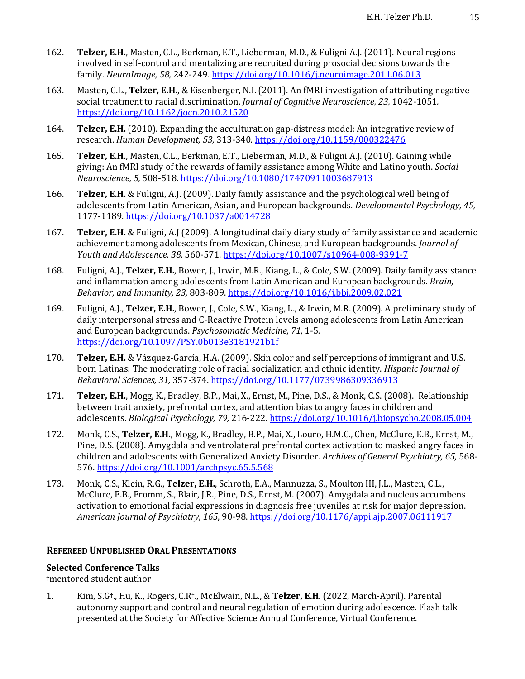- 162. **Telzer, E.H.**, Masten, C.L., Berkman, E.T., Lieberman, M.D., & Fuligni A.J. (2011). Neural regions involved in self-control and mentalizing are recruited during prosocial decisions towards the family. *NeuroImage, 58,* 242-249*.* https://doi.org/10.1016/j.neuroimage.2011.06.013
- 163. Masten, C.L., **Telzer, E.H.**, & Eisenberger, N.I. (2011). An fMRI investigation of attributing negative social treatment to racial discrimination. *Journal of Cognitive Neuroscience, 23*, 1042-1051. https://doi.org/10.1162/jocn.2010.21520
- 164. **Telzer, E.H.** (2010). Expanding the acculturation gap-distress model: An integrative review of research. *Human Development, 53,* 313-340*.* https://doi.org/10.1159/000322476
- 165. **Telzer, E.H.**, Masten, C.L., Berkman, E.T., Lieberman, M.D., & Fuligni A.J. (2010). Gaining while giving: An fMRI study of the rewards of family assistance among White and Latino youth. *Social Neuroscience, 5,* 508-518*.* https://doi.org/10.1080/17470911003687913
- 166. **Telzer, E.H.** & Fuligni, A.J. (2009). Daily family assistance and the psychological well being of adolescents from Latin American, Asian, and European backgrounds. *Developmental Psychology, 45,* 1177-1189*.* https://doi.org/10.1037/a0014728
- 167. **Telzer, E.H.** & Fuligni, A.J (2009). A longitudinal daily diary study of family assistance and academic achievement among adolescents from Mexican, Chinese, and European backgrounds. *Journal of Youth and Adolescence, 38,* 560-571. https://doi.org/10.1007/s10964-008-9391-7
- 168. Fuligni, A.J., **Telzer, E.H.**, Bower, J., Irwin, M.R., Kiang, L., & Cole, S.W. (2009). Daily family assistance and inflammation among adolescents from Latin American and European backgrounds. *Brain*, *Behavior, and Immunity, 23,* 803-809. https://doi.org/10.1016/j.bbi.2009.02.021
- 169. Fuligni, A.J., **Telzer, E.H.**, Bower, J., Cole, S.W., Kiang, L., & Irwin, M.R. (2009). A preliminary study of daily interpersonal stress and C-Reactive Protein levels among adolescents from Latin American and European backgrounds. *Psychosomatic Medicine*, 71, 1-5. https://doi.org/10.1097/PSY.0b013e3181921b1f
- 170. **Telzer, E.H.** & Vázquez-García, H.A. (2009). Skin color and self perceptions of immigrant and U.S. born Latinas: The moderating role of racial socialization and ethnic identity. *Hispanic Journal of Behavioral Sciences, 31,* 357-374. https://doi.org/10.1177/0739986309336913
- 171. **Telzer, E.H.**, Mogg, K., Bradley, B.P., Mai, X., Ernst, M., Pine, D.S., & Monk, C.S. (2008). Relationship between trait anxiety, prefrontal cortex, and attention bias to angry faces in children and adolescents. *Biological Psychology, 79,* 216-222*.* https://doi.org/10.1016/j.biopsycho.2008.05.004
- 172. Monk, C.S., Telzer, E.H., Mogg, K., Bradley, B.P., Mai, X., Louro, H.M.C., Chen, McClure, E.B., Ernst, M., Pine, D.S. (2008). Amygdala and ventrolateral prefrontal cortex activation to masked angry faces in children and adolescents with Generalized Anxiety Disorder. Archives of General Psychiatry, 65, 568-576. https://doi.org/10.1001/archpsyc.65.5.568
- 173. Monk, C.S., Klein, R.G., Telzer, E.H., Schroth, E.A., Mannuzza, S., Moulton III, J.L., Masten, C.L., McClure, E.B., Fromm, S., Blair, J.R., Pine, D.S., Ernst, M. (2007). Amygdala and nucleus accumbens activation to emotional facial expressions in diagnosis free juveniles at risk for major depression. *American Journal of Psychiatry, 165*, 90-98. https://doi.org/10.1176/appi.ajp.2007.06111917

#### **REFEREED UNPUBLISHED ORAL PRESENTATIONS**

#### **Selected Conference Talks**

†mentored student author

1. Kim, S.G<sup>†</sup>., Hu, K., Rogers, C.R<sup>†</sup>., McElwain, N.L., & Telzer, E.H. (2022, March-April). Parental autonomy support and control and neural regulation of emotion during adolescence. Flash talk presented at the Society for Affective Science Annual Conference, Virtual Conference.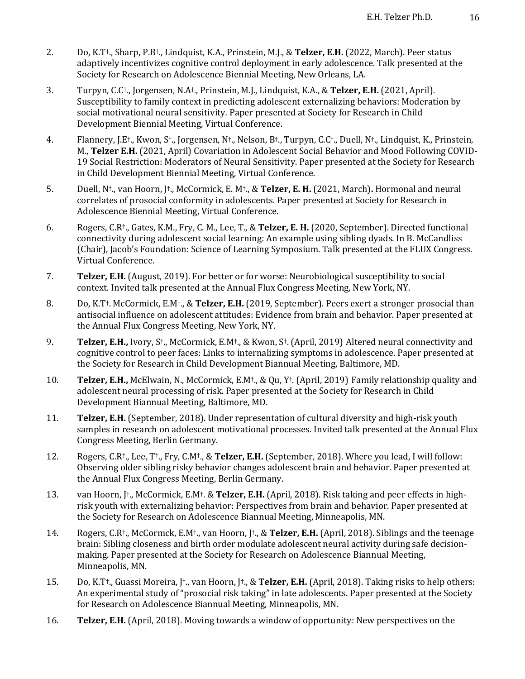- 2. Do, K.T<sup>+</sup>., Sharp, P.B<sup>+</sup>., Lindquist, K.A., Prinstein, M.J., & Telzer, E.H. (2022, March). Peer status adaptively incentivizes cognitive control deployment in early adolescence. Talk presented at the Society for Research on Adolescence Biennial Meeting, New Orleans, LA.
- 3. Turpyn, C.C<sup>†</sup>., Jorgensen, N.A<sup>†</sup>., Prinstein, M.J., Lindquist, K.A., & **Telzer, E.H.** (2021, April). Susceptibility to family context in predicting adolescent externalizing behaviors: Moderation by social motivational neural sensitivity. Paper presented at Society for Research in Child Development Biennial Meeting, Virtual Conference.
- 4. Flannery, J.E<sup>†</sup>., Kwon, S<sup>†</sup>., Jorgensen, N<sup>†</sup>., Nelson, B<sup>†</sup>., Turpyn, C.C<sup>†</sup>., Duell, N<sup>†</sup>., Lindquist, K., Prinstein, M., Telzer E.H. (2021, April) Covariation in Adolescent Social Behavior and Mood Following COVID-19 Social Restriction: Moderators of Neural Sensitivity. Paper presented at the Society for Research in Child Development Biennial Meeting, Virtual Conference.
- 5. Duell, N<sup>†</sup>., van Hoorn, J<sup>†</sup>., McCormick, E. M<sup>†</sup>., & Telzer, E. H. (2021, March). Hormonal and neural correlates of prosocial conformity in adolescents. Paper presented at Society for Research in Adolescence Biennial Meeting, Virtual Conference.
- 6. Rogers, C.R<sup>†</sup>., Gates, K.M., Fry, C. M., Lee, T., & Telzer, E. H. (2020, September). Directed functional connectivity during adolescent social learning: An example using sibling dyads. In B. McCandliss (Chair), Jacob's Foundation: Science of Learning Symposium. Talk presented at the FLUX Congress. Virtual Conference.
- 7. **Telzer, E.H.** (August, 2019). For better or for worse: Neurobiological susceptibility to social context. Invited talk presented at the Annual Flux Congress Meeting, New York, NY.
- 8. Do, K.T<sup>†</sup>. McCormick, E.M<sup>†</sup>., & **Telzer, E.H.** (2019, September). Peers exert a stronger prosocial than antisocial influence on adolescent attitudes: Evidence from brain and behavior. Paper presented at the Annual Flux Congress Meeting, New York, NY.
- 9. **Telzer, E.H.,** Ivory, S<sup>†</sup>., McCormick, E.M<sup>†</sup>., & Kwon, S<sup>†</sup>. (April, 2019) Altered neural connectivity and cognitive control to peer faces: Links to internalizing symptoms in adolescence. Paper presented at the Society for Research in Child Development Biannual Meeting, Baltimore, MD.
- 10. **Telzer, E.H.,** McElwain, N., McCormick, E.M<sup>†</sup>., & Qu, Y<sup>†</sup>. (April, 2019) Family relationship quality and adolescent neural processing of risk. Paper presented at the Society for Research in Child Development Biannual Meeting, Baltimore, MD.
- 11. **Telzer, E.H.** (September, 2018). Under representation of cultural diversity and high-risk youth samples in research on adolescent motivational processes. Invited talk presented at the Annual Flux Congress Meeting, Berlin Germany.
- 12. Rogers, C.R<sup>†</sup>., Lee, T<sup>†</sup>., Fry, C.M<sup>†</sup>., & Telzer, E.H. (September, 2018). Where you lead, I will follow: Observing older sibling risky behavior changes adolescent brain and behavior. Paper presented at the Annual Flux Congress Meeting, Berlin Germany.
- 13. van Hoorn, J<sup>†</sup>., McCormick, E.M<sup>†</sup>. & Telzer, E.H. (April, 2018). Risk taking and peer effects in highrisk youth with externalizing behavior: Perspectives from brain and behavior. Paper presented at the Society for Research on Adolescence Biannual Meeting, Minneapolis, MN.
- 14. Rogers, C.R<sup>†</sup>., McCormck, E.M<sup>†</sup>., van Hoorn, J<sup>†</sup>., & Telzer, E.H. (April, 2018). Siblings and the teenage brain: Sibling closeness and birth order modulate adolescent neural activity during safe decisionmaking. Paper presented at the Society for Research on Adolescence Biannual Meeting, Minneapolis, MN.
- 15. Do, K.T<sup>+</sup>., Guassi Moreira, J<sup>+</sup>., van Hoorn, J<sup>+</sup>., & Telzer, E.H. (April, 2018). Taking risks to help others: An experimental study of "prosocial risk taking" in late adolescents. Paper presented at the Society for Research on Adolescence Biannual Meeting, Minneapolis, MN.
- 16. **Telzer, E.H.** (April, 2018). Moving towards a window of opportunity: New perspectives on the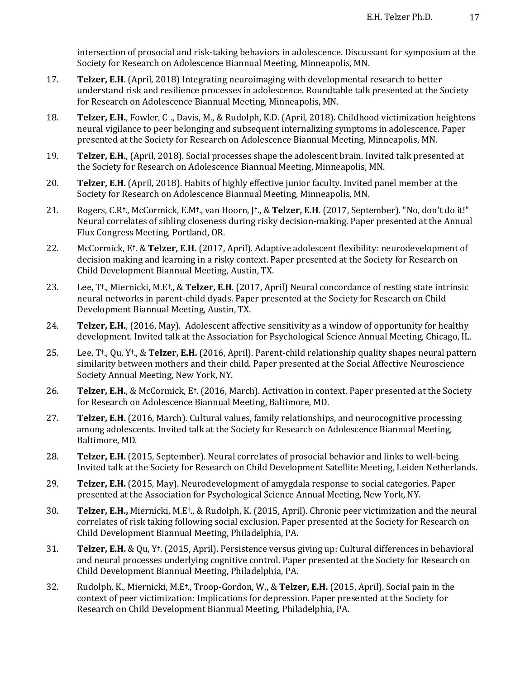intersection of prosocial and risk-taking behaviors in adolescence. Discussant for symposium at the Society for Research on Adolescence Biannual Meeting, Minneapolis, MN.

- 17. **Telzer, E.H.** (April, 2018) Integrating neuroimaging with developmental research to better understand risk and resilience processes in adolescence. Roundtable talk presented at the Society for Research on Adolescence Biannual Meeting, Minneapolis, MN.
- 18. **Telzer, E.H.**, Fowler, C<sup>†</sup>., Davis, M., & Rudolph, K.D. (April, 2018). Childhood victimization heightens neural vigilance to peer belonging and subsequent internalizing symptoms in adolescence. Paper presented at the Society for Research on Adolescence Biannual Meeting, Minneapolis, MN.
- 19. **Telzer, E.H.**, (April, 2018). Social processes shape the adolescent brain. Invited talk presented at the Society for Research on Adolescence Biannual Meeting, Minneapolis, MN.
- 20. **Telzer, E.H.** (April, 2018). Habits of highly effective junior faculty. Invited panel member at the Society for Research on Adolescence Biannual Meeting, Minneapolis, MN.
- 21. Rogers, C.R<sup>†</sup>., McCormick, E.M<sup>†</sup>., van Hoorn, J<sup>†</sup>., & Telzer, E.H. (2017, September). "No, don't do it!" Neural correlates of sibling closeness during risky decision-making. Paper presented at the Annual Flux Congress Meeting, Portland, OR.
- 22. McCormick, E<sup>†</sup>. & **Telzer, E.H.** (2017, April). Adaptive adolescent flexibility: neurodevelopment of decision making and learning in a risky context. Paper presented at the Society for Research on Child Development Biannual Meeting, Austin, TX.
- 23. Lee, T<sup>†</sup>., Miernicki, M.E<sup>†</sup>., & Telzer, E.H. (2017, April) Neural concordance of resting state intrinsic neural networks in parent-child dyads. Paper presented at the Society for Research on Child Development Biannual Meeting, Austin, TX.
- 24. **Telzer, E.H.**, (2016, May). Adolescent affective sensitivity as a window of opportunity for healthy development. Invited talk at the Association for Psychological Science Annual Meeting, Chicago, IL.
- 25. Lee, T<sup>†</sup>., Qu, Y<sup>†</sup>., & **Telzer, E.H.** (2016, April). Parent-child relationship quality shapes neural pattern similarity between mothers and their child. Paper presented at the Social Affective Neuroscience Society Annual Meeting, New York, NY.
- 26. **Telzer, E.H.**, & McCormick, E<sup>†</sup>. (2016, March). Activation in context. Paper presented at the Society for Research on Adolescence Biannual Meeting, Baltimore, MD.
- 27. **Telzer, E.H.** (2016, March). Cultural values, family relationships, and neurocognitive processing among adolescents. Invited talk at the Society for Research on Adolescence Biannual Meeting, Baltimore, MD.
- 28. **Telzer, E.H.** (2015, September). Neural correlates of prosocial behavior and links to well-being. Invited talk at the Society for Research on Child Development Satellite Meeting, Leiden Netherlands.
- 29. **Telzer, E.H.** (2015, May). Neurodevelopment of amygdala response to social categories. Paper presented at the Association for Psychological Science Annual Meeting, New York, NY.
- 30. **Telzer, E.H.,** Miernicki, M.E<sup>†</sup>., & Rudolph, K. (2015, April). Chronic peer victimization and the neural correlates of risk taking following social exclusion. Paper presented at the Society for Research on Child Development Biannual Meeting, Philadelphia, PA.
- **31. Telzer, E.H.** & Qu, Y<sup>†</sup>. (2015, April). Persistence versus giving up: Cultural differences in behavioral and neural processes underlying cognitive control. Paper presented at the Society for Research on Child Development Biannual Meeting, Philadelphia, PA.
- 32. Rudolph, K., Miernicki, M.E<sup>†</sup>., Troop-Gordon, W., & Telzer, E.H. (2015, April). Social pain in the context of peer victimization: Implications for depression. Paper presented at the Society for Research on Child Development Biannual Meeting, Philadelphia, PA.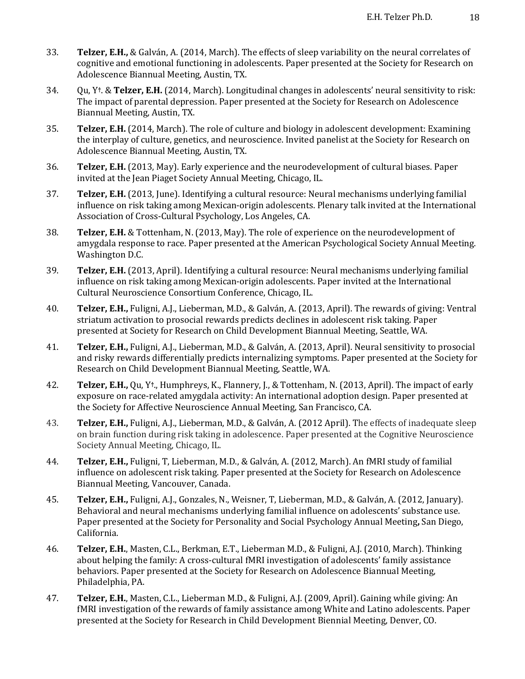- 33. **Telzer, E.H.,** & Galván, A. (2014, March). The effects of sleep variability on the neural correlates of cognitive and emotional functioning in adolescents. Paper presented at the Society for Research on Adolescence Biannual Meeting, Austin, TX.
- 34. Ou, Y<sup>†</sup>. & Telzer, E.H. (2014, March). Longitudinal changes in adolescents' neural sensitivity to risk: The impact of parental depression. Paper presented at the Society for Research on Adolescence Biannual Meeting, Austin, TX.
- 35. **Telzer, E.H.** (2014, March). The role of culture and biology in adolescent development: Examining the interplay of culture, genetics, and neuroscience. Invited panelist at the Society for Research on Adolescence Biannual Meeting, Austin, TX.
- 36. **Telzer, E.H.** (2013, May). Early experience and the neurodevelopment of cultural biases. Paper invited at the Jean Piaget Society Annual Meeting, Chicago, IL.
- 37. **Telzer, E.H.** (2013, June). Identifying a cultural resource: Neural mechanisms underlying familial influence on risk taking among Mexican-origin adolescents. Plenary talk invited at the International Association of Cross-Cultural Psychology, Los Angeles, CA.
- 38. **Telzer, E.H.** & Tottenham, N. (2013, May). The role of experience on the neurodevelopment of amygdala response to race. Paper presented at the American Psychological Society Annual Meeting. Washington D.C.
- 39. **Telzer, E.H.** (2013, April). Identifying a cultural resource: Neural mechanisms underlying familial influence on risk taking among Mexican-origin adolescents. Paper invited at the International Cultural Neuroscience Consortium Conference, Chicago, IL.
- 40. **Telzer, E.H.,** Fuligni, A.J., Lieberman, M.D., & Galván, A. (2013, April). The rewards of giving: Ventral striatum activation to prosocial rewards predicts declines in adolescent risk taking. Paper presented at Society for Research on Child Development Biannual Meeting, Seattle, WA.
- 41. **Telzer, E.H.,** Fuligni, A.J., Lieberman, M.D., & Galván, A. (2013, April). Neural sensitivity to prosocial and risky rewards differentially predicts internalizing symptoms. Paper presented at the Society for Research on Child Development Biannual Meeting, Seattle, WA.
- 42. **Telzer, E.H.,** Qu, Y<sup>†</sup>., Humphreys, K., Flannery, J., & Tottenham, N. (2013, April). The impact of early exposure on race-related amygdala activity: An international adoption design. Paper presented at the Society for Affective Neuroscience Annual Meeting, San Francisco, CA.
- 43. **Telzer, E.H.,** Fuligni, A.J., Lieberman, M.D., & Galván, A. (2012 April). The effects of inadequate sleep on brain function during risk taking in adolescence. Paper presented at the Cognitive Neuroscience Society Annual Meeting, Chicago, IL.
- 44. **Telzer, E.H.,** Fuligni, T, Lieberman, M.D., & Galván, A. (2012, March). An fMRI study of familial influence on adolescent risk taking. Paper presented at the Society for Research on Adolescence Biannual Meeting, Vancouver, Canada.
- 45. **Telzer, E.H.,** Fuligni, A.J., Gonzales, N., Weisner, T. Lieberman, M.D., & Galván, A. (2012, January). Behavioral and neural mechanisms underlying familial influence on adolescents' substance use. Paper presented at the Society for Personality and Social Psychology Annual Meeting, San Diego, California.
- 46. **Telzer, E.H.**, Masten, C.L., Berkman, E.T., Lieberman M.D., & Fuligni, A.J. (2010, March). Thinking about helping the family: A cross-cultural fMRI investigation of adolescents' family assistance behaviors. Paper presented at the Society for Research on Adolescence Biannual Meeting, Philadelphia, PA.
- 47. **Telzer, E.H.**, Masten, C.L., Lieberman M.D., & Fuligni, A.J. (2009, April). Gaining while giving: An fMRI investigation of the rewards of family assistance among White and Latino adolescents. Paper presented at the Society for Research in Child Development Biennial Meeting, Denver, CO.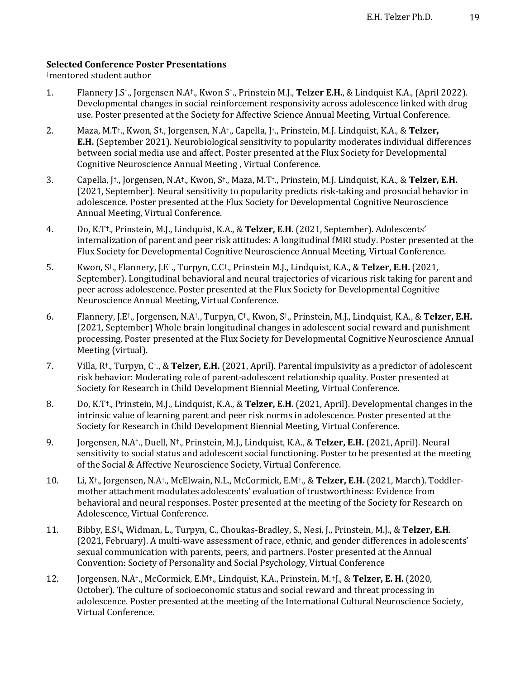## **Selected Conference Poster Presentations**

†mentored student author

- 1. Flannery J.S<sup>†</sup>., Jorgensen N.A<sup>†</sup>., Kwon S<sup>†</sup>., Prinstein M.J., **Telzer E.H.**, & Lindquist K.A., (April 2022). Developmental changes in social reinforcement responsivity across adolescence linked with drug use. Poster presented at the Society for Affective Science Annual Meeting, Virtual Conference.
- 2. Maza, M.T<sup>+</sup>., Kwon, S<sup>+</sup>., Jorgensen, N.A<sup>+</sup>., Capella, J<sup>+</sup>., Prinstein, M.J. Lindquist, K.A., & **Telzer, E.H.** (September 2021). Neurobiological sensitivity to popularity moderates individual differences between social media use and affect. Poster presented at the Flux Society for Developmental Cognitive Neuroscience Annual Meeting, Virtual Conference.
- 3. Capella, J<sup>†</sup>., Jorgensen, N.A<sup>†</sup>., Kwon, S<sup>†</sup>., Maza, M.T<sup>†</sup>., Prinstein, M.J. Lindquist, K.A., & **Telzer, E.H.** (2021, September). Neural sensitivity to popularity predicts risk-taking and prosocial behavior in adolescence. Poster presented at the Flux Society for Developmental Cognitive Neuroscience Annual Meeting, Virtual Conference.
- 4. Do, K.T<sup>+</sup>., Prinstein, M.J., Lindquist, K.A., & **Telzer, E.H.** (2021, September). Adolescents' internalization of parent and peer risk attitudes: A longitudinal fMRI study. Poster presented at the Flux Society for Developmental Cognitive Neuroscience Annual Meeting, Virtual Conference.
- 5. Kwon, S†., Flannery, J.E†., Turpyn, C.C†., Prinstein M.J., Lindquist, K.A., & **Telzer, E.H.** (2021, September). Longitudinal behavioral and neural trajectories of vicarious risk taking for parent and peer across adolescence. Poster presented at the Flux Society for Developmental Cognitive Neuroscience Annual Meeting, Virtual Conference.
- 6. Flannery, J.E†., Jorgensen, N.A†., Turpyn, C†., Kwon, S†., Prinstein, M.J., Lindquist, K.A., & **Telzer, E.H.** (2021, September) Whole brain longitudinal changes in adolescent social reward and punishment processing. Poster presented at the Flux Society for Developmental Cognitive Neuroscience Annual Meeting (virtual).
- 7. Villa, R<sup>†</sup>., Turpyn, C<sup>†</sup>., & **Telzer, E.H.** (2021, April). Parental impulsivity as a predictor of adolescent risk behavior: Moderating role of parent-adolescent relationship quality. Poster presented at Society for Research in Child Development Biennial Meeting, Virtual Conference.
- 8. Do, K.T<sup>†</sup>., Prinstein, M.J., Lindquist, K.A., & **Telzer, E.H.** (2021, April). Developmental changes in the intrinsic value of learning parent and peer risk norms in adolescence. Poster presented at the Society for Research in Child Development Biennial Meeting, Virtual Conference.
- 9. Jorgensen, N.A<sup>†</sup>., Duell, N<sup>†</sup>., Prinstein, M.J., Lindquist, K.A., & **Telzer, E.H.** (2021, April). Neural sensitivity to social status and adolescent social functioning. Poster to be presented at the meeting of the Social & Affective Neuroscience Society, Virtual Conference.
- 10. Li, X<sup>†</sup>., Jorgensen, N.A<sup>†</sup>., McElwain, N.L., McCormick, E.M<sup>†</sup>., & Telzer, E.H. (2021, March). Toddlermother attachment modulates adolescents' evaluation of trustworthiness: Evidence from behavioral and neural responses. Poster presented at the meeting of the Society for Research on Adolescence, Virtual Conference.
- 11. Bibby, E.S<sup>†</sup>., Widman, L., Turpyn, C., Choukas-Bradley, S., Nesi, J., Prinstein, M.J., & **Telzer, E.H**. (2021, February). A multi-wave assessment of race, ethnic, and gender differences in adolescents' sexual communication with parents, peers, and partners. Poster presented at the Annual Convention: Society of Personality and Social Psychology, Virtual Conference
- 12. Jorgensen, N.A<sup>†</sup>., McCormick, E.M<sup>†</sup>., Lindquist, K.A., Prinstein, M. †J., & **Telzer, E. H.** (2020, October). The culture of socioeconomic status and social reward and threat processing in adolescence. Poster presented at the meeting of the International Cultural Neuroscience Society, Virtual Conference.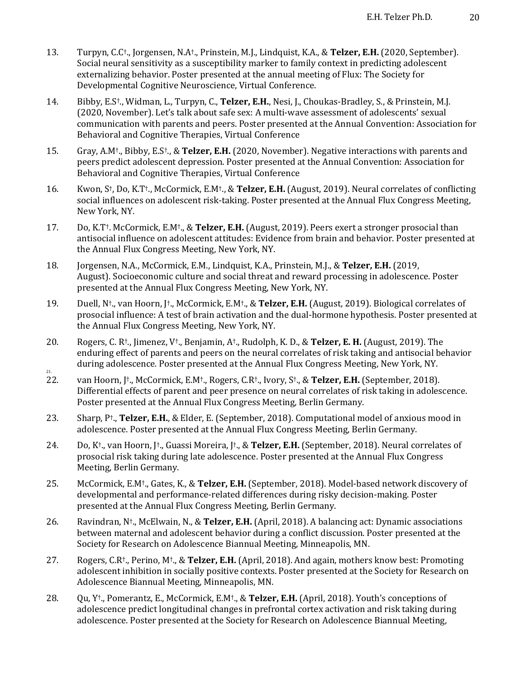- 13. Turpyn, C.C<sup>†</sup>., Jorgensen, N.A<sup>†</sup>., Prinstein, M.J., Lindquist, K.A., & **Telzer, E.H.** (2020, September). Social neural sensitivity as a susceptibility marker to family context in predicting adolescent externalizing behavior. Poster presented at the annual meeting of Flux: The Society for Developmental Cognitive Neuroscience, Virtual Conference.
- 14. Bibby, E.S<sup>†</sup>., Widman, L., Turpyn, C., **Telzer, E.H.**, Nesi, J., Choukas-Bradley, S., & Prinstein, M.J. (2020, November). Let's talk about safe sex: A multi-wave assessment of adolescents' sexual communication with parents and peers. Poster presented at the Annual Convention: Association for Behavioral and Cognitive Therapies, Virtual Conference
- 15. Gray, A.M<sup>†</sup>., Bibby, E.S<sup>†</sup>., & **Telzer, E.H.** (2020, November). Negative interactions with parents and peers predict adolescent depression. Poster presented at the Annual Convention: Association for Behavioral and Cognitive Therapies, Virtual Conference
- 16. Kwon, S<sup>†</sup>, Do, K.T<sup>†</sup>., McCormick, E.M<sup>†</sup>., & **Telzer, E.H.** (August, 2019). Neural correlates of conflicting social influences on adolescent risk-taking. Poster presented at the Annual Flux Congress Meeting, New York, NY.
- 17. Do, K.T<sup>†</sup>. McCormick, E.M<sup>†</sup>., & **Telzer, E.H.** (August, 2019). Peers exert a stronger prosocial than antisocial influence on adolescent attitudes: Evidence from brain and behavior. Poster presented at the Annual Flux Congress Meeting, New York, NY.
- 18. Jorgensen, N.A., McCormick, E.M., Lindquist, K.A., Prinstein, M.J., & Telzer, E.H. (2019, August). Socioeconomic culture and social threat and reward processing in adolescence. Poster presented at the Annual Flux Congress Meeting, New York, NY.
- 19. Duell, N<sup>†</sup>., van Hoorn, [<sup>†</sup>., McCormick, E.M<sup>†</sup>., & **Telzer, E.H.** (August, 2019). Biological correlates of prosocial influence: A test of brain activation and the dual-hormone hypothesis. Poster presented at the Annual Flux Congress Meeting, New York, NY.
- 20. Rogers, C. R<sup>†</sup>., Jimenez, V<sup>†</sup>., Benjamin, A<sup>†</sup>., Rudolph, K. D., & **Telzer, E. H.** (August, 2019). The enduring effect of parents and peers on the neural correlates of risk taking and antisocial behavior during adolescence. Poster presented at the Annual Flux Congress Meeting, New York, NY. 21.
- 22. van Hoorn, J<sup>†</sup>., McCormick, E.M<sup>†</sup>., Rogers, C.R<sup>†</sup>., Ivory, S<sup>†</sup>., & **Telzer, E.H.** (September, 2018). Differential effects of parent and peer presence on neural correlates of risk taking in adolescence. Poster presented at the Annual Flux Congress Meeting, Berlin Germany.
- 23. Sharp, P<sup>†</sup>., **Telzer, E.H.**, & Elder, E. (September, 2018). Computational model of anxious mood in adolescence. Poster presented at the Annual Flux Congress Meeting, Berlin Germany.
- 24. Do, K<sup>†</sup>., van Hoorn, J<sup>†</sup>., Guassi Moreira, J<sup>†</sup>., & **Telzer, E.H.** (September, 2018). Neural correlates of prosocial risk taking during late adolescence. Poster presented at the Annual Flux Congress Meeting, Berlin Germany.
- 25. McCormick, E.M<sup>†</sup>., Gates, K., & Telzer, E.H. (September, 2018). Model-based network discovery of developmental and performance-related differences during risky decision-making. Poster presented at the Annual Flux Congress Meeting, Berlin Germany.
- 26. Ravindran, N<sup>†</sup>., McElwain, N., & Telzer, E.H. (April, 2018). A balancing act: Dynamic associations between maternal and adolescent behavior during a conflict discussion. Poster presented at the Society for Research on Adolescence Biannual Meeting, Minneapolis, MN.
- 27. Rogers, C.R<sup>†</sup>., Perino, M<sup>†</sup>., & **Telzer, E.H.** (April, 2018). And again, mothers know best: Promoting adolescent inhibition in socially positive contexts. Poster presented at the Society for Research on Adolescence Biannual Meeting, Minneapolis, MN.
- 28. Qu, Y<sup>†</sup>., Pomerantz, E., McCormick, E.M<sup>†</sup>., & Telzer, E.H. (April, 2018). Youth's conceptions of adolescence predict longitudinal changes in prefrontal cortex activation and risk taking during adolescence. Poster presented at the Society for Research on Adolescence Biannual Meeting,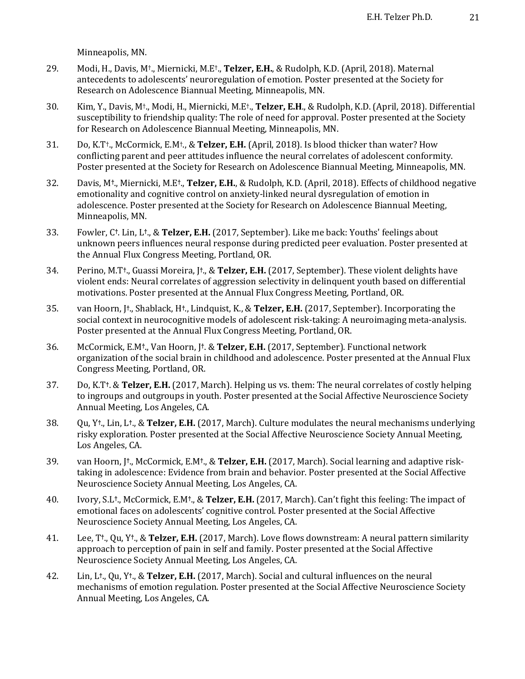Minneapolis, MN.

- 29. Modi, H., Davis, M<sup>†</sup>., Miernicki, M.E<sup>†</sup>., Telzer, E.H., & Rudolph, K.D. (April, 2018). Maternal antecedents to adolescents' neuroregulation of emotion. Poster presented at the Society for Research on Adolescence Biannual Meeting, Minneapolis, MN.
- 30. Kim, Y., Davis, M<sup>†</sup>., Modi, H., Miernicki, M.E<sup>†</sup>., Telzer, E.H., & Rudolph, K.D. (April, 2018). Differential susceptibility to friendship quality: The role of need for approval. Poster presented at the Society for Research on Adolescence Biannual Meeting, Minneapolis, MN.
- 31. Do, K.T<sup>+</sup>., McCormick, E.M<sup>+</sup>., & Telzer, E.H. (April, 2018). Is blood thicker than water? How conflicting parent and peer attitudes influence the neural correlates of adolescent conformity. Poster presented at the Society for Research on Adolescence Biannual Meeting, Minneapolis, MN.
- 32. Davis, M<sup>†</sup>., Miernicki, M.E<sup>†</sup>., **Telzer, E.H.**, & Rudolph, K.D. (April, 2018). Effects of childhood negative emotionality and cognitive control on anxiety-linked neural dysregulation of emotion in adolescence. Poster presented at the Society for Research on Adolescence Biannual Meeting, Minneapolis, MN.
- 33. Fowler, C<sup>†</sup>. Lin, L<sup>†</sup>., & Telzer, E.H. (2017, September). Like me back: Youths' feelings about unknown peers influences neural response during predicted peer evaluation. Poster presented at the Annual Flux Congress Meeting, Portland, OR.
- 34. Perino, M.T<sup>†</sup>., Guassi Moreira, J<sup>†</sup>., & **Telzer, E.H.** (2017, September). These violent delights have violent ends: Neural correlates of aggression selectivity in delinquent youth based on differential motivations. Poster presented at the Annual Flux Congress Meeting, Portland, OR.
- 35. van Hoorn,  $\uparrow$ <sup>+</sup>., Shablack, H<sup>+</sup>., Lindquist, K., & **Telzer, E.H.** (2017, September). Incorporating the social context in neurocognitive models of adolescent risk-taking: A neuroimaging meta-analysis. Poster presented at the Annual Flux Congress Meeting, Portland, OR.
- 36. McCormick, E.M<sup>†</sup>., Van Hoorn, J<sup>†</sup>. & Telzer, E.H. (2017, September). Functional network organization of the social brain in childhood and adolescence. Poster presented at the Annual Flux Congress Meeting, Portland, OR.
- 37. Do, K.T<sup>†</sup>. & **Telzer, E.H.** (2017, March). Helping us vs. them: The neural correlates of costly helping to ingroups and outgroups in youth. Poster presented at the Social Affective Neuroscience Society Annual Meeting, Los Angeles, CA.
- 38. Qu, Y<sup>†</sup>., Lin, L<sup>†</sup>., & **Telzer, E.H.** (2017, March). Culture modulates the neural mechanisms underlying risky exploration. Poster presented at the Social Affective Neuroscience Society Annual Meeting, Los Angeles, CA.
- 39. van Hoorn, J<sup>†</sup>., McCormick, E.M<sup>†</sup>., & **Telzer, E.H.** (2017, March). Social learning and adaptive risktaking in adolescence: Evidence from brain and behavior. Poster presented at the Social Affective Neuroscience Society Annual Meeting, Los Angeles, CA.
- 40. Ivory, S.L<sup>†</sup>., McCormick, E.M<sup>†</sup>., & Telzer, E.H. (2017, March). Can't fight this feeling: The impact of emotional faces on adolescents' cognitive control. Poster presented at the Social Affective Neuroscience Society Annual Meeting, Los Angeles, CA.
- 41. Lee, T<sup>†</sup>., Qu, Y<sup>†</sup>., & Telzer, E.H. (2017, March). Love flows downstream: A neural pattern similarity approach to perception of pain in self and family. Poster presented at the Social Affective Neuroscience Society Annual Meeting, Los Angeles, CA.
- 42. Lin, L<sup>†</sup>., Qu, Y<sup>†</sup>., & Telzer, E.H. (2017, March). Social and cultural influences on the neural mechanisms of emotion regulation. Poster presented at the Social Affective Neuroscience Society Annual Meeting, Los Angeles, CA.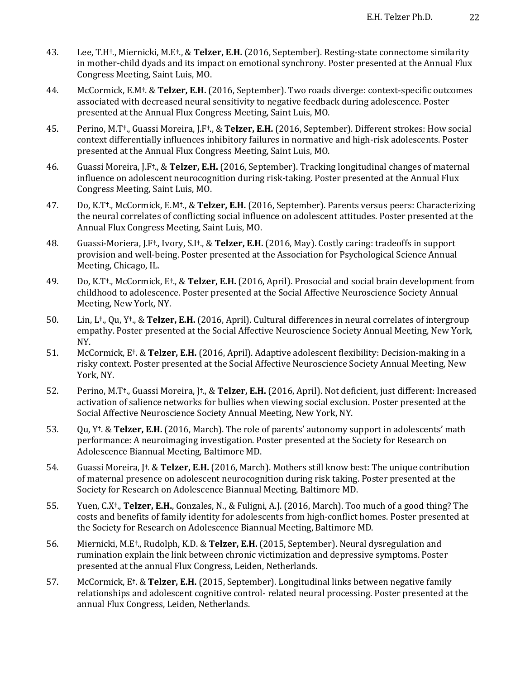- 43. Lee, T.H<sup>†</sup>., Miernicki, M.E<sup>†</sup>., & Telzer, E.H. (2016, September). Resting-state connectome similarity in mother-child dyads and its impact on emotional synchrony. Poster presented at the Annual Flux Congress Meeting, Saint Luis, MO.
- 44. McCormick, E.M<sup>†</sup>. & **Telzer, E.H.** (2016, September). Two roads diverge: context-specific outcomes associated with decreased neural sensitivity to negative feedback during adolescence. Poster presented at the Annual Flux Congress Meeting, Saint Luis, MO.
- 45. Perino, M.T**†**., Guassi Moreira, J.F**†**., & **Telzer, E.H.** (2016, September). Different strokes: How social context differentially influences inhibitory failures in normative and high-risk adolescents. Poster presented at the Annual Flux Congress Meeting, Saint Luis, MO.
- 46. Guassi Moreira, J.F<sup>†</sup>., & **Telzer, E.H.** (2016, September). Tracking longitudinal changes of maternal influence on adolescent neurocognition during risk-taking. Poster presented at the Annual Flux Congress Meeting, Saint Luis, MO.
- 47. Do, K.T**†**., McCormick, E.M**†**., & **Telzer, E.H.** (2016, September). Parents versus peers: Characterizing the neural correlates of conflicting social influence on adolescent attitudes. Poster presented at the Annual Flux Congress Meeting, Saint Luis, MO.
- 48. Guassi-Moriera, J.F<sup>†</sup>., Ivory, S.I<sup>†</sup>., & Telzer, E.H. (2016, May). Costly caring: tradeoffs in support provision and well-being. Poster presented at the Association for Psychological Science Annual Meeting, Chicago, IL.
- 49. Do, K.T<sup>†</sup>., McCormick, E<sup>†</sup>., & Telzer, E.H. (2016, April). Prosocial and social brain development from childhood to adolescence. Poster presented at the Social Affective Neuroscience Society Annual Meeting, New York, NY.
- 50. Lin, L<sup>†</sup>., Qu, Y<sup>†</sup>., & **Telzer, E.H.** (2016, April). Cultural differences in neural correlates of intergroup empathy. Poster presented at the Social Affective Neuroscience Society Annual Meeting, New York, NY.
- 51. McCormick, E<sup>†</sup>. & **Telzer, E.H.** (2016, April). Adaptive adolescent flexibility: Decision-making in a risky context. Poster presented at the Social Affective Neuroscience Society Annual Meeting, New York, NY.
- 52. Perino, M.T<sup>†</sup>., Guassi Moreira, [<sup>†</sup>., & **Telzer, E.H.** (2016, April). Not deficient, just different: Increased activation of salience networks for bullies when viewing social exclusion. Poster presented at the Social Affective Neuroscience Society Annual Meeting, New York, NY.
- 53. Qu, Y<sup>†</sup>. & **Telzer, E.H.** (2016, March). The role of parents' autonomy support in adolescents' math performance: A neuroimaging investigation. Poster presented at the Society for Research on Adolescence Biannual Meeting, Baltimore MD.
- 54. Guassi Moreira, [<sup>†</sup>. & **Telzer, E.H.** (2016, March). Mothers still know best: The unique contribution of maternal presence on adolescent neurocognition during risk taking. Poster presented at the Society for Research on Adolescence Biannual Meeting, Baltimore MD.
- 55. Yuen, C.X<sup>†</sup>., **Telzer, E.H.**, Gonzales, N., & Fuligni, A.J. (2016, March). Too much of a good thing? The costs and benefits of family identity for adolescents from high-conflict homes. Poster presented at the Society for Research on Adolescence Biannual Meeting, Baltimore MD.
- 56. Miernicki, M.E<sup>†</sup>., Rudolph, K.D. & **Telzer, E.H.** (2015, September). Neural dysregulation and rumination explain the link between chronic victimization and depressive symptoms. Poster presented at the annual Flux Congress, Leiden, Netherlands.
- 57. McCormick, E<sup>†</sup>. & **Telzer, E.H.** (2015, September). Longitudinal links between negative family relationships and adolescent cognitive control- related neural processing. Poster presented at the annual Flux Congress, Leiden, Netherlands.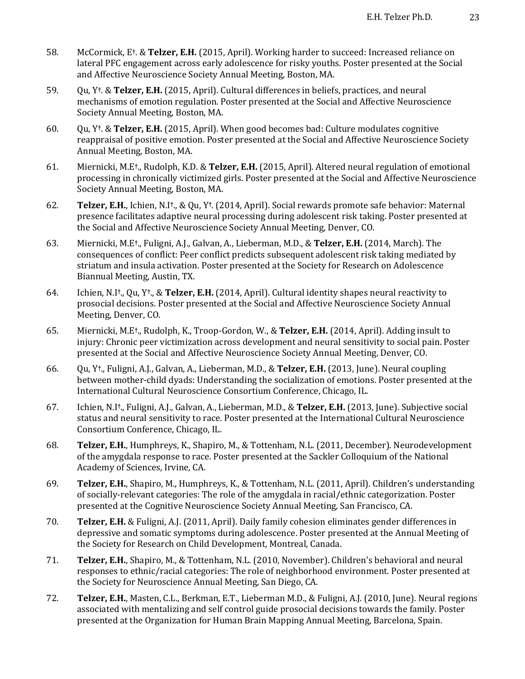- 58. McCormick, E<sup>†</sup>. & **Telzer, E.H.** (2015, April). Working harder to succeed: Increased reliance on lateral PFC engagement across early adolescence for risky youths. Poster presented at the Social and Affective Neuroscience Society Annual Meeting, Boston, MA.
- 59. Qu, Y<sup>†</sup>. & **Telzer, E.H.** (2015, April). Cultural differences in beliefs, practices, and neural mechanisms of emotion regulation. Poster presented at the Social and Affective Neuroscience Society Annual Meeting, Boston, MA.
- 60. Qu, Y**†**. & **Telzer, E.H.** (2015, April). When good becomes bad: Culture modulates cognitive reappraisal of positive emotion. Poster presented at the Social and Affective Neuroscience Society Annual Meeting, Boston, MA.
- 61. Miernicki, M.E<sup>†</sup>., Rudolph, K.D. & **Telzer, E.H.** (2015, April). Altered neural regulation of emotional processing in chronically victimized girls. Poster presented at the Social and Affective Neuroscience Society Annual Meeting, Boston, MA.
- 62. **Telzer, E.H.**, Ichien, N.I<sup>†</sup>., & Qu, Y<sup>†</sup>. (2014, April). Social rewards promote safe behavior: Maternal presence facilitates adaptive neural processing during adolescent risk taking. Poster presented at the Social and Affective Neuroscience Society Annual Meeting, Denver, CO.
- 63. Miernicki, M.E<sup>†</sup>., Fuligni, A.J., Galvan, A., Lieberman, M.D., & **Telzer, E.H.** (2014, March). The consequences of conflict: Peer conflict predicts subsequent adolescent risk taking mediated by striatum and insula activation. Poster presented at the Society for Research on Adolescence Biannual Meeting, Austin, TX.
- 64. Ichien, N.I<sup>†</sup>., Qu, Y<sup>†</sup>., & Telzer, E.H. (2014, April). Cultural identity shapes neural reactivity to prosocial decisions. Poster presented at the Social and Affective Neuroscience Society Annual Meeting, Denver, CO.
- 65. Miernicki, M.E<sup>†</sup>., Rudolph, K., Troop-Gordon, W., & **Telzer, E.H.** (2014, April). Adding insult to injury: Chronic peer victimization across development and neural sensitivity to social pain. Poster presented at the Social and Affective Neuroscience Society Annual Meeting, Denver, CO.
- 66. Qu, Y<sup>†</sup>., Fuligni, A.J., Galvan, A., Lieberman, M.D., & Telzer, E.H. (2013, June). Neural coupling between mother-child dyads: Understanding the socialization of emotions. Poster presented at the International Cultural Neuroscience Consortium Conference, Chicago, IL.
- 67. Ichien, N.I<sup>†</sup>., Fuligni, A.J., Galvan, A., Lieberman, M.D., & **Telzer, E.H.** (2013, June). Subjective social status and neural sensitivity to race. Poster presented at the International Cultural Neuroscience Consortium Conference, Chicago, IL.
- 68. **Telzer, E.H.**, Humphreys, K., Shapiro, M., & Tottenham, N.L. (2011, December). Neurodevelopment of the amygdala response to race. Poster presented at the Sackler Colloquium of the National Academy of Sciences, Irvine, CA.
- 69. **Telzer, E.H.**, Shapiro, M., Humphreys, K., & Tottenham, N.L. (2011, April). Children's understanding of socially-relevant categories: The role of the amygdala in racial/ethnic categorization. Poster presented at the Cognitive Neuroscience Society Annual Meeting, San Francisco, CA.
- 70. **Telzer, E.H.** & Fuligni, A.J. (2011, April). Daily family cohesion eliminates gender differences in depressive and somatic symptoms during adolescence. Poster presented at the Annual Meeting of the Society for Research on Child Development, Montreal, Canada.
- 71. **Telzer, E.H.**, Shapiro, M., & Tottenham, N.L. (2010, November). Children's behavioral and neural responses to ethnic/racial categories: The role of neighborhood environment. Poster presented at the Society for Neuroscience Annual Meeting, San Diego, CA.
- 72. **Telzer, E.H.**, Masten, C.L., Berkman, E.T., Lieberman M.D., & Fuligni, A.J. (2010, June). Neural regions associated with mentalizing and self control guide prosocial decisions towards the family. Poster presented at the Organization for Human Brain Mapping Annual Meeting, Barcelona, Spain.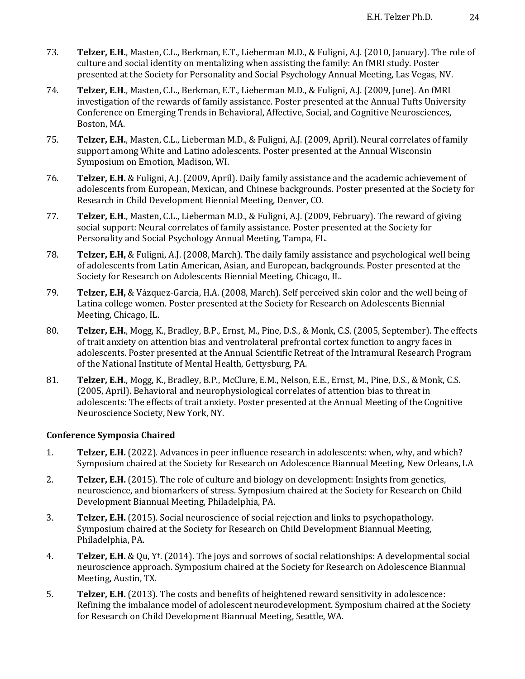- 73. **Telzer, E.H.**, Masten, C.L., Berkman, E.T., Lieberman M.D., & Fuligni, A.J. (2010, January). The role of culture and social identity on mentalizing when assisting the family: An fMRI study. Poster presented at the Society for Personality and Social Psychology Annual Meeting, Las Vegas, NV.
- 74. **Telzer, E.H.**, Masten, C.L., Berkman, E.T., Lieberman M.D., & Fuligni, A.J. (2009, June). An fMRI investigation of the rewards of family assistance. Poster presented at the Annual Tufts University Conference on Emerging Trends in Behavioral, Affective, Social, and Cognitive Neurosciences, Boston, MA.
- 75. **Telzer, E.H.**, Masten, C.L., Lieberman M.D., & Fuligni, A.J. (2009, April). Neural correlates of family support among White and Latino adolescents. Poster presented at the Annual Wisconsin Symposium on Emotion, Madison, WI.
- 76. **Telzer, E.H.** & Fuligni, A.J. (2009, April). Daily family assistance and the academic achievement of adolescents from European, Mexican, and Chinese backgrounds. Poster presented at the Society for Research in Child Development Biennial Meeting, Denver, CO.
- 77. **Telzer, E.H.**, Masten, C.L., Lieberman M.D., & Fuligni, A.J. (2009, February). The reward of giving social support: Neural correlates of family assistance. Poster presented at the Society for Personality and Social Psychology Annual Meeting, Tampa, FL.
- 78. **Telzer, E.H,** & Fuligni, A.J. (2008, March). The daily family assistance and psychological well being of adolescents from Latin American, Asian, and European, backgrounds. Poster presented at the Society for Research on Adolescents Biennial Meeting, Chicago, IL.
- 79. **Telzer, E.H,** & Vázquez-Garcia, H.A. (2008, March). Self perceived skin color and the well being of Latina college women. Poster presented at the Society for Research on Adolescents Biennial Meeting, Chicago, IL.
- 80. **Telzer, E.H.**, Mogg, K., Bradley, B.P., Ernst, M., Pine, D.S., & Monk, C.S. (2005, September). The effects of trait anxiety on attention bias and ventrolateral prefrontal cortex function to angry faces in adolescents. Poster presented at the Annual Scientific Retreat of the Intramural Research Program of the National Institute of Mental Health, Gettysburg, PA.
- 81. **Telzer, E.H.**, Mogg, K., Bradley, B.P., McClure, E.M., Nelson, E.E., Ernst, M., Pine, D.S., & Monk, C.S. (2005, April). Behavioral and neurophysiological correlates of attention bias to threat in adolescents: The effects of trait anxiety. Poster presented at the Annual Meeting of the Cognitive Neuroscience Society, New York, NY.

## **Conference Symposia Chaired**

- 1. **Telzer, E.H.** (2022). Advances in peer influence research in adolescents: when, why, and which? Symposium chaired at the Society for Research on Adolescence Biannual Meeting, New Orleans, LA
- 2. **Telzer, E.H.** (2015). The role of culture and biology on development: Insights from genetics, neuroscience, and biomarkers of stress. Symposium chaired at the Society for Research on Child Development Biannual Meeting, Philadelphia, PA.
- 3. **Telzer, E.H.** (2015). Social neuroscience of social rejection and links to psychopathology. Symposium chaired at the Society for Research on Child Development Biannual Meeting, Philadelphia, PA.
- 4. **Telzer, E.H.** & Qu, Y<sup>†</sup>. (2014). The joys and sorrows of social relationships: A developmental social neuroscience approach. Symposium chaired at the Society for Research on Adolescence Biannual Meeting, Austin, TX.
- 5. **Telzer, E.H.** (2013). The costs and benefits of heightened reward sensitivity in adolescence: Refining the imbalance model of adolescent neurodevelopment. Symposium chaired at the Society for Research on Child Development Biannual Meeting, Seattle, WA.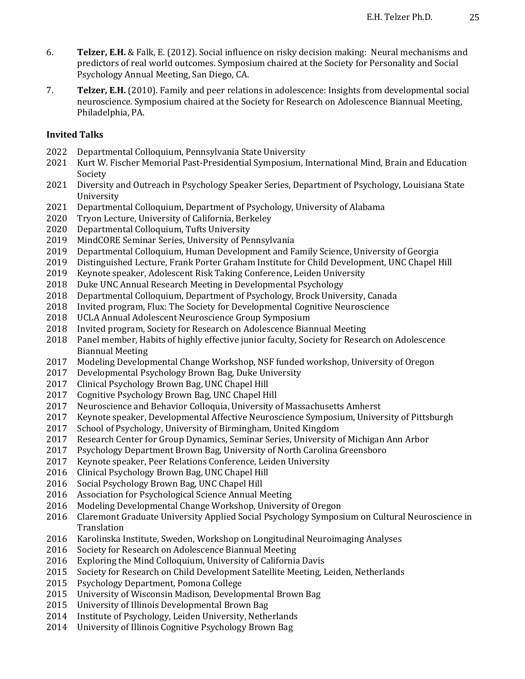- 6. **Telzer, E.H.** & Falk, E. (2012). Social influence on risky decision making: Neural mechanisms and predictors of real world outcomes. Symposium chaired at the Society for Personality and Social Psychology Annual Meeting, San Diego, CA.
- 7. **Telzer, E.H.** (2010). Family and peer relations in adolescence: Insights from developmental social neuroscience. Symposium chaired at the Society for Research on Adolescence Biannual Meeting, Philadelphia, PA.

## **Invited Talks**

- 2022 Departmental Colloquium, Pennsylvania State University
- 2021 Kurt W. Fischer Memorial Past-Presidential Symposium, International Mind, Brain and Education Society
- 2021 Diversity and Outreach in Psychology Speaker Series, Department of Psychology, Louisiana State University
- 2021 Departmental Colloquium, Department of Psychology, University of Alabama
- 2020 Tryon Lecture, University of California, Berkeley
- 2020 Departmental Colloquium, Tufts University
- 2019 MindCORE Seminar Series, University of Pennsylvania
- 2019 Departmental Colloquium, Human Development and Family Science, University of Georgia
- 2019 Distinguished Lecture, Frank Porter Graham Institute for Child Development, UNC Chapel Hill
- 2019 Keynote speaker, Adolescent Risk Taking Conference, Leiden University
- 2018 Duke UNC Annual Research Meeting in Developmental Psychology
- 2018 Departmental Colloquium, Department of Psychology, Brock University, Canada
- 2018 Invited program, Flux: The Society for Developmental Cognitive Neuroscience
- 2018 UCLA Annual Adolescent Neuroscience Group Symposium
- 2018 Invited program, Society for Research on Adolescence Biannual Meeting
- 2018 Panel member, Habits of highly effective junior faculty, Society for Research on Adolescence Biannual Meeting
- 2017 Modeling Developmental Change Workshop, NSF funded workshop, University of Oregon
- 2017 Developmental Psychology Brown Bag, Duke University
- 2017 Clinical Psychology Brown Bag, UNC Chapel Hill
- 2017 Cognitive Psychology Brown Bag, UNC Chapel Hill
- 2017 Neuroscience and Behavior Colloquia, University of Massachusetts Amherst
- 2017 Keynote speaker, Developmental Affective Neuroscience Symposium, University of Pittsburgh
- 2017 School of Psychology, University of Birmingham, United Kingdom
- 2017 Research Center for Group Dynamics, Seminar Series, University of Michigan Ann Arbor
- 2017 Psychology Department Brown Bag, University of North Carolina Greensboro
- 2017 Keynote speaker, Peer Relations Conference, Leiden University
- 2016 Clinical Psychology Brown Bag, UNC Chapel Hill
- 2016 Social Psychology Brown Bag, UNC Chapel Hill
- 2016 Association for Psychological Science Annual Meeting
- 2016 Modeling Developmental Change Workshop, University of Oregon
- 2016 Claremont Graduate University Applied Social Psychology Symposium on Cultural Neuroscience in **Translation**
- 2016 Karolinska Institute, Sweden, Workshop on Longitudinal Neuroimaging Analyses
- 2016 Society for Research on Adolescence Biannual Meeting
- 2016 Exploring the Mind Colloquium, University of California Davis
- 2015 Society for Research on Child Development Satellite Meeting, Leiden, Netherlands
- 2015 Psychology Department, Pomona College
- 2015 University of Wisconsin Madison, Developmental Brown Bag
- 2015 University of Illinois Developmental Brown Bag
- 2014 Institute of Psychology, Leiden University, Netherlands
- 2014 University of Illinois Cognitive Psychology Brown Bag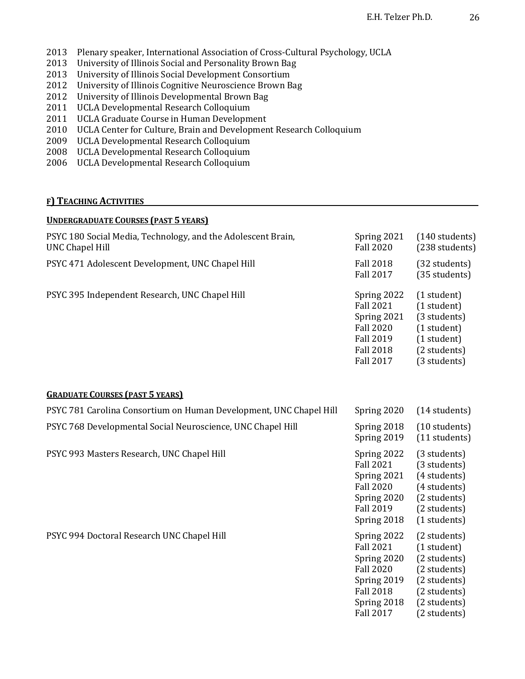- 2013 Plenary speaker, International Association of Cross-Cultural Psychology, UCLA
- 2013 University of Illinois Social and Personality Brown Bag
- 2013 University of Illinois Social Development Consortium
- 2012 University of Illinois Cognitive Neuroscience Brown Bag
- 2012 University of Illinois Developmental Brown Bag
- 2011 UCLA Developmental Research Colloquium
- 2011 UCLA Graduate Course in Human Development
- 2010 UCLA Center for Culture, Brain and Development Research Colloquium
- 2009 UCLA Developmental Research Colloquium
- 2008 UCLA Developmental Research Colloquium
- 2006 UCLA Developmental Research Colloquium

# **F) TEACHING ACTIVITIES**

| <b>UNDERGRADUATE COURSES (PAST 5 YEARS)</b>                                            |                                                                                                                                          |                                                                                                                             |
|----------------------------------------------------------------------------------------|------------------------------------------------------------------------------------------------------------------------------------------|-----------------------------------------------------------------------------------------------------------------------------|
| PSYC 180 Social Media, Technology, and the Adolescent Brain,<br><b>UNC Chapel Hill</b> | Spring 2021<br><b>Fall 2020</b>                                                                                                          | (140 students)<br>(238 students)                                                                                            |
| PSYC 471 Adolescent Development, UNC Chapel Hill                                       | <b>Fall 2018</b><br><b>Fall 2017</b>                                                                                                     | (32 students)<br>(35 students)                                                                                              |
| PSYC 395 Independent Research, UNC Chapel Hill                                         | Spring 2022<br><b>Fall 2021</b><br>Spring 2021<br><b>Fall 2020</b><br><b>Fall 2019</b><br><b>Fall 2018</b><br><b>Fall 2017</b>           | (1 student)<br>(1 student)<br>(3 students)<br>(1 student)<br>(1 student)<br>(2 students)<br>(3 students)                    |
| <b>GRADUATE COURSES (PAST 5 YEARS)</b>                                                 |                                                                                                                                          |                                                                                                                             |
| PSYC 781 Carolina Consortium on Human Development, UNC Chapel Hill                     | Spring 2020                                                                                                                              | (14 students)                                                                                                               |
| PSYC 768 Developmental Social Neuroscience, UNC Chapel Hill                            | Spring 2018<br>Spring 2019                                                                                                               | (10 students)<br>(11 students)                                                                                              |
| PSYC 993 Masters Research, UNC Chapel Hill                                             | Spring 2022<br><b>Fall 2021</b><br>Spring 2021<br><b>Fall 2020</b><br>Spring 2020<br><b>Fall 2019</b><br>Spring 2018                     | (3 students)<br>(3 students)<br>(4 students)<br>(4 students)<br>(2 students)<br>(2 students)<br>(1 students)                |
| PSYC 994 Doctoral Research UNC Chapel Hill                                             | Spring 2022<br><b>Fall 2021</b><br>Spring 2020<br><b>Fall 2020</b><br>Spring 2019<br><b>Fall 2018</b><br>Spring 2018<br><b>Fall 2017</b> | (2 students)<br>(1 student)<br>(2 students)<br>(2 students)<br>(2 students)<br>(2 students)<br>(2 students)<br>(2 students) |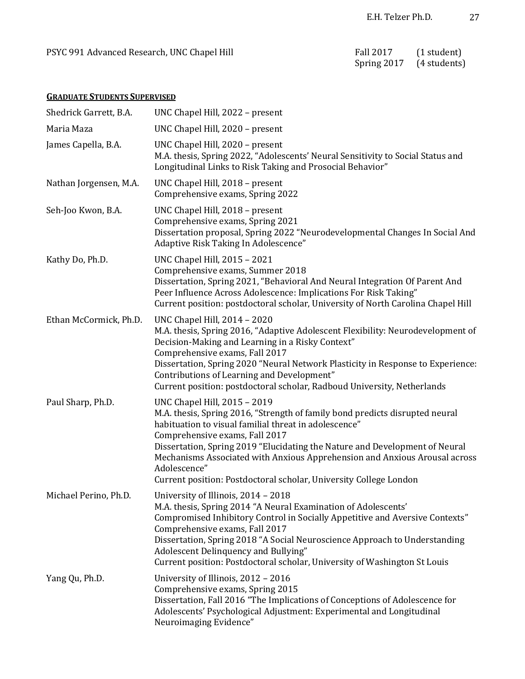# **GRADUATE STUDENTS SUPERVISED**

| Shedrick Garrett, B.A. | UNC Chapel Hill, 2022 - present                                                                                                                                                                                                                                                                                                                                                                                                                           |
|------------------------|-----------------------------------------------------------------------------------------------------------------------------------------------------------------------------------------------------------------------------------------------------------------------------------------------------------------------------------------------------------------------------------------------------------------------------------------------------------|
| Maria Maza             | UNC Chapel Hill, 2020 - present                                                                                                                                                                                                                                                                                                                                                                                                                           |
| James Capella, B.A.    | UNC Chapel Hill, 2020 - present<br>M.A. thesis, Spring 2022, "Adolescents' Neural Sensitivity to Social Status and<br>Longitudinal Links to Risk Taking and Prosocial Behavior"                                                                                                                                                                                                                                                                           |
| Nathan Jorgensen, M.A. | UNC Chapel Hill, 2018 - present<br>Comprehensive exams, Spring 2022                                                                                                                                                                                                                                                                                                                                                                                       |
| Seh-Joo Kwon, B.A.     | UNC Chapel Hill, 2018 - present<br>Comprehensive exams, Spring 2021<br>Dissertation proposal, Spring 2022 "Neurodevelopmental Changes In Social And<br>Adaptive Risk Taking In Adolescence"                                                                                                                                                                                                                                                               |
| Kathy Do, Ph.D.        | <b>UNC Chapel Hill, 2015 - 2021</b><br>Comprehensive exams, Summer 2018<br>Dissertation, Spring 2021, "Behavioral And Neural Integration Of Parent And<br>Peer Influence Across Adolescence: Implications For Risk Taking"<br>Current position: postdoctoral scholar, University of North Carolina Chapel Hill                                                                                                                                            |
| Ethan McCormick, Ph.D. | <b>UNC Chapel Hill, 2014 - 2020</b><br>M.A. thesis, Spring 2016, "Adaptive Adolescent Flexibility: Neurodevelopment of<br>Decision-Making and Learning in a Risky Context"<br>Comprehensive exams, Fall 2017<br>Dissertation, Spring 2020 "Neural Network Plasticity in Response to Experience:<br>Contributions of Learning and Development"<br>Current position: postdoctoral scholar, Radboud University, Netherlands                                  |
| Paul Sharp, Ph.D.      | UNC Chapel Hill, 2015 - 2019<br>M.A. thesis, Spring 2016, "Strength of family bond predicts disrupted neural<br>habituation to visual familial threat in adolescence"<br>Comprehensive exams, Fall 2017<br>Dissertation, Spring 2019 "Elucidating the Nature and Development of Neural<br>Mechanisms Associated with Anxious Apprehension and Anxious Arousal across<br>Adolescence"<br>Current position: Postdoctoral scholar, University College London |
| Michael Perino, Ph.D.  | University of Illinois, 2014 - 2018<br>M.A. thesis, Spring 2014 "A Neural Examination of Adolescents'<br>Compromised Inhibitory Control in Socially Appetitive and Aversive Contexts"<br>Comprehensive exams, Fall 2017<br>Dissertation, Spring 2018 "A Social Neuroscience Approach to Understanding<br>Adolescent Delinquency and Bullying"<br>Current position: Postdoctoral scholar, University of Washington St Louis                                |
| Yang Qu, Ph.D.         | University of Illinois, 2012 - 2016<br>Comprehensive exams, Spring 2015<br>Dissertation, Fall 2016 "The Implications of Conceptions of Adolescence for<br>Adolescents' Psychological Adjustment: Experimental and Longitudinal<br>Neuroimaging Evidence"                                                                                                                                                                                                  |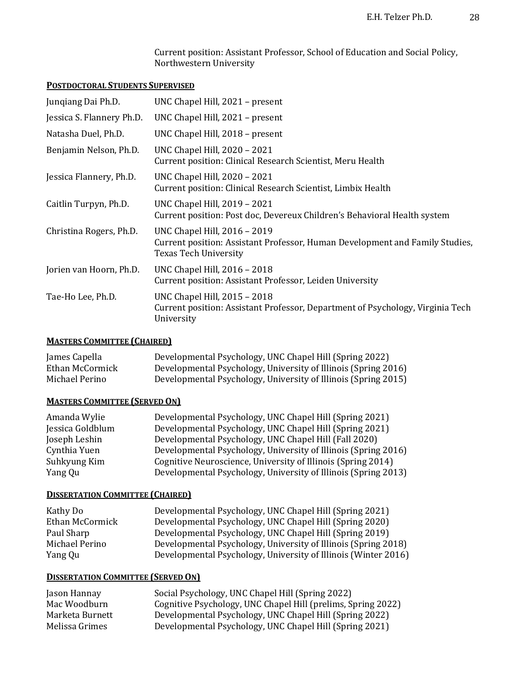Current position: Assistant Professor, School of Education and Social Policy, Northwestern University

## **POSTDOCTORAL STUDENTS SUPERVISED**

| Jungiang Dai Ph.D.        | UNC Chapel Hill, 2021 - present                                                                                                       |
|---------------------------|---------------------------------------------------------------------------------------------------------------------------------------|
| Jessica S. Flannery Ph.D. | UNC Chapel Hill, 2021 - present                                                                                                       |
| Natasha Duel, Ph.D.       | UNC Chapel Hill, 2018 - present                                                                                                       |
| Benjamin Nelson, Ph.D.    | UNC Chapel Hill, 2020 - 2021<br>Current position: Clinical Research Scientist, Meru Health                                            |
| Jessica Flannery, Ph.D.   | UNC Chapel Hill, 2020 - 2021<br>Current position: Clinical Research Scientist, Limbix Health                                          |
| Caitlin Turpyn, Ph.D.     | UNC Chapel Hill, 2019 - 2021<br>Current position: Post doc, Devereux Children's Behavioral Health system                              |
| Christina Rogers, Ph.D.   | UNC Chapel Hill, 2016 - 2019<br>Current position: Assistant Professor, Human Development and Family Studies,<br>Texas Tech University |
| Jorien van Hoorn, Ph.D.   | UNC Chapel Hill, 2016 - 2018<br>Current position: Assistant Professor, Leiden University                                              |
| Tae-Ho Lee, Ph.D.         | UNC Chapel Hill, 2015 - 2018<br>Current position: Assistant Professor, Department of Psychology, Virginia Tech<br>University          |

## **MASTERS COMMITTEE (CHAIRED)**

| James Capella   | Developmental Psychology, UNC Chapel Hill (Spring 2022)        |
|-----------------|----------------------------------------------------------------|
| Ethan McCormick | Developmental Psychology, University of Illinois (Spring 2016) |
| Michael Perino  | Developmental Psychology, University of Illinois (Spring 2015) |

## **MASTERS COMMITTEE (SERVED ON)**

| Developmental Psychology, UNC Chapel Hill (Spring 2021)        |
|----------------------------------------------------------------|
| Developmental Psychology, UNC Chapel Hill (Spring 2021)        |
| Developmental Psychology, UNC Chapel Hill (Fall 2020)          |
| Developmental Psychology, University of Illinois (Spring 2016) |
| Cognitive Neuroscience, University of Illinois (Spring 2014)   |
| Developmental Psychology, University of Illinois (Spring 2013) |
|                                                                |

#### **DISSERTATION COMMITTEE (CHAIRED)**

| Kathy Do        | Developmental Psychology, UNC Chapel Hill (Spring 2021)        |
|-----------------|----------------------------------------------------------------|
| Ethan McCormick | Developmental Psychology, UNC Chapel Hill (Spring 2020)        |
| Paul Sharp      | Developmental Psychology, UNC Chapel Hill (Spring 2019)        |
| Michael Perino  | Developmental Psychology, University of Illinois (Spring 2018) |
| Yang Qu         | Developmental Psychology, University of Illinois (Winter 2016) |

# **DISSERTATION COMMITTEE (SERVED ON)**

| Jason Hannay    | Social Psychology, UNC Chapel Hill (Spring 2022)             |
|-----------------|--------------------------------------------------------------|
| Mac Woodburn    | Cognitive Psychology, UNC Chapel Hill (prelims, Spring 2022) |
| Marketa Burnett | Developmental Psychology, UNC Chapel Hill (Spring 2022)      |
| Melissa Grimes  | Developmental Psychology, UNC Chapel Hill (Spring 2021)      |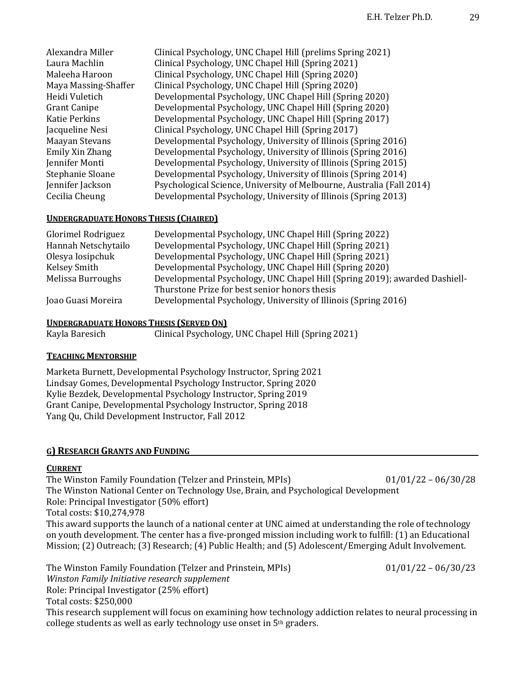| Alexandra Miller     | Clinical Psychology, UNC Chapel Hill (prelims Spring 2021)            |
|----------------------|-----------------------------------------------------------------------|
| Laura Machlin        | Clinical Psychology, UNC Chapel Hill (Spring 2021)                    |
| Maleeha Haroon       | Clinical Psychology, UNC Chapel Hill (Spring 2020)                    |
| Maya Massing-Shaffer | Clinical Psychology, UNC Chapel Hill (Spring 2020)                    |
| Heidi Vuletich       | Developmental Psychology, UNC Chapel Hill (Spring 2020)               |
| <b>Grant Canipe</b>  | Developmental Psychology, UNC Chapel Hill (Spring 2020)               |
| <b>Katie Perkins</b> | Developmental Psychology, UNC Chapel Hill (Spring 2017)               |
| Jacqueline Nesi      | Clinical Psychology, UNC Chapel Hill (Spring 2017)                    |
| Maayan Stevans       | Developmental Psychology, University of Illinois (Spring 2016)        |
| Emily Xin Zhang      | Developmental Psychology, University of Illinois (Spring 2016)        |
| Jennifer Monti       | Developmental Psychology, University of Illinois (Spring 2015)        |
| Stephanie Sloane     | Developmental Psychology, University of Illinois (Spring 2014)        |
| Jennifer Jackson     | Psychological Science, University of Melbourne, Australia (Fall 2014) |
| Cecilia Cheung       | Developmental Psychology, University of Illinois (Spring 2013)        |

#### **UNDERGRADUATE HONORS THESIS (CHAIRED)**

| Glorimel Rodriguez  | Developmental Psychology, UNC Chapel Hill (Spring 2022)                    |
|---------------------|----------------------------------------------------------------------------|
| Hannah Netschytailo | Developmental Psychology, UNC Chapel Hill (Spring 2021)                    |
| Olesya Iosipchuk    | Developmental Psychology, UNC Chapel Hill (Spring 2021)                    |
| Kelsey Smith        | Developmental Psychology, UNC Chapel Hill (Spring 2020)                    |
| Melissa Burroughs   | Developmental Psychology, UNC Chapel Hill (Spring 2019); awarded Dashiell- |
|                     | Thurstone Prize for best senior honors thesis                              |
| Joao Guasi Moreira  | Developmental Psychology, University of Illinois (Spring 2016)             |

#### **UNDERGRADUATE HONORS THESIS (SERVED ON)**

Kayla Baresich Clinical Psychology, UNC Chapel Hill (Spring 2021)

#### **TEACHING MENTORSHIP**

Marketa Burnett, Developmental Psychology Instructor, Spring 2021 Lindsay Gomes, Developmental Psychology Instructor, Spring 2020 Kylie Bezdek, Developmental Psychology Instructor, Spring 2019 Grant Canipe, Developmental Psychology Instructor, Spring 2018 Yang Qu, Child Development Instructor, Fall 2012

#### **G)** RESEARCH GRANTS AND FUNDING

#### **CURRENT**

The Winston Family Foundation (Telzer and Prinstein, MPIs)  $01/01/22 - 06/30/28$ The Winston National Center on Technology Use, Brain, and Psychological Development Role: Principal Investigator (50% effort) Total costs: \$10,274,978 This award supports the launch of a national center at UNC aimed at understanding the role of technology on youth development. The center has a five-pronged mission including work to fulfill: (1) an Educational Mission; (2) Outreach; (3) Research; (4) Public Health; and (5) Adolescent/Emerging Adult Involvement.

The Winston Family Foundation (Telzer and Prinstein, MPIs)  $01/01/22 - 06/30/23$ Winston Family Initiative research supplement Role: Principal Investigator (25% effort) Total costs: \$250,000 This research supplement will focus on examining how technology addiction relates to neural processing in college students as well as early technology use onset in  $5<sup>th</sup>$  graders.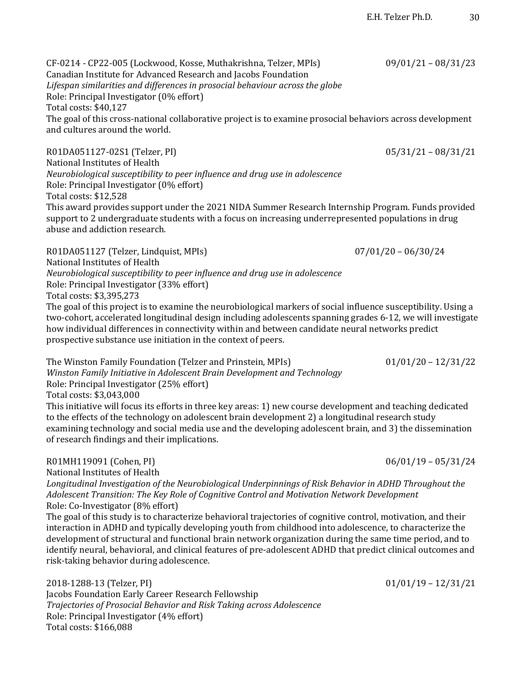CF-0214 - CP22-005 (Lockwood, Kosse, Muthakrishna, Telzer, MPIs) 09/01/21 – 08/31/23 Canadian Institute for Advanced Research and Jacobs Foundation Lifespan similarities and differences in prosocial behaviour across the globe Role: Principal Investigator (0% effort) Total costs: \$40,127 The goal of this cross-national collaborative project is to examine prosocial behaviors across development and cultures around the world.

R01DA051127-02S1 (Telzer, PI) 05/31/21 – 08/31/21 National Institutes of Health *Neurobiological susceptibility to peer influence and drug use in adolescence* Role: Principal Investigator (0% effort) Total costs: \$12.528 This award provides support under the 2021 NIDA Summer Research Internship Program. Funds provided support to 2 undergraduate students with a focus on increasing underrepresented populations in drug abuse and addiction research.

R01DA051127 (Telzer, Lindquist, MPIs) 07/01/20 - 06/30/24 National Institutes of Health *Neurobiological susceptibility to peer influence and drug use in adolescence* Role: Principal Investigator (33% effort) Total costs: \$3,395,273

The goal of this project is to examine the neurobiological markers of social influence susceptibility. Using a two-cohort, accelerated longitudinal design including adolescents spanning grades 6-12, we will investigate how individual differences in connectivity within and between candidate neural networks predict prospective substance use initiation in the context of peers.

The Winston Family Foundation (Telzer and Prinstein, MPIs)  $01/01/20 - 12/31/22$ Winston Family Initiative in Adolescent Brain Development and Technology Role: Principal Investigator (25% effort) Total costs: \$3,043,000 This initiative will focus its efforts in three key areas: 1) new course development and teaching dedicated to the effects of the technology on adolescent brain development 2) a longitudinal research study

examining technology and social media use and the developing adolescent brain, and 3) the dissemination of research findings and their implications.

## R01MH119091 (Cohen, PI) 06/01/19 – 05/31/24

National Institutes of Health

Longitudinal Investigation of the Neurobiological Underpinnings of Risk Behavior in ADHD Throughout the Adolescent Transition: The Key Role of Cognitive Control and Motivation Network Development Role: Co-Investigator (8% effort)

The goal of this study is to characterize behavioral trajectories of cognitive control, motivation, and their interaction in ADHD and typically developing youth from childhood into adolescence, to characterize the development of structural and functional brain network organization during the same time period, and to identify neural, behavioral, and clinical features of pre-adolescent ADHD that predict clinical outcomes and risk-taking behavior during adolescence.

2018-1288-13 (Telzer, PI) 01/01/19 - 12/31/21 Jacobs Foundation Early Career Research Fellowship *Trajectories of Prosocial Behavior and Risk Taking across Adolescence* Role: Principal Investigator (4% effort) Total costs: \$166,088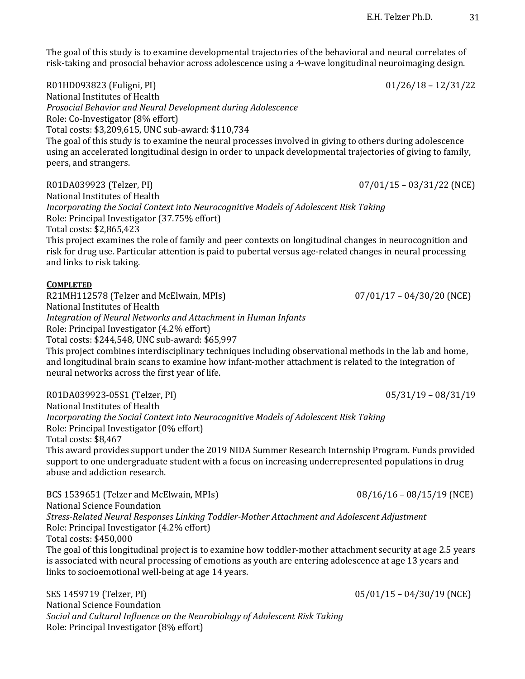The goal of this study is to examine developmental trajectories of the behavioral and neural correlates of risk-taking and prosocial behavior across adolescence using a 4-wave longitudinal neuroimaging design.

R01HD093823 (Fuligni, PI) 01/26/18 - 12/31/22 National Institutes of Health *Prosocial Behavior and Neural Development during Adolescence* Role: Co-Investigator (8% effort) Total costs: \$3,209,615, UNC sub-award: \$110,734 The goal of this study is to examine the neural processes involved in giving to others during adolescence using an accelerated longitudinal design in order to unpack developmental trajectories of giving to family, peers, and strangers. 

R01DA039923 (Telzer, PI) 07/01/15 – 03/31/22 (NCE) National Institutes of Health *Incorporating the Social Context into Neurocognitive Models of Adolescent Risk Taking* Role: Principal Investigator (37.75% effort) Total costs: \$2,865,423 This project examines the role of family and peer contexts on longitudinal changes in neurocognition and risk for drug use. Particular attention is paid to pubertal versus age-related changes in neural processing and links to risk taking.

#### **COMPLETED**

R21MH112578 (Telzer and McElwain, MPIs) 07/01/17 - 04/30/20 (NCE) National Institutes of Health *Integration of Neural Networks and Attachment in Human Infants* Role: Principal Investigator (4.2% effort) Total costs: \$244,548, UNC sub-award: \$65,997 This project combines interdisciplinary techniques including observational methods in the lab and home,

and longitudinal brain scans to examine how infant-mother attachment is related to the integration of neural networks across the first year of life.

R01DA039923-05S1 (Telzer, PI) 05/31/19 – 08/31/19 National Institutes of Health *Incorporating the Social Context into Neurocognitive Models of Adolescent Risk Taking* Role: Principal Investigator (0% effort) Total costs: \$8,467 This award provides support under the 2019 NIDA Summer Research Internship Program. Funds provided support to one undergraduate student with a focus on increasing underrepresented populations in drug abuse and addiction research.

BCS 1539651 (Telzer and McElwain, MPIs) 08/16/16 - 08/15/19 (NCE) National Science Foundation *Stress-Related Neural Responses Linking Toddler-Mother Attachment and Adolescent Adjustment* Role: Principal Investigator (4.2% effort) Total costs: \$450,000 The goal of this longitudinal project is to examine how toddler-mother attachment security at age 2.5 years is associated with neural processing of emotions as youth are entering adolescence at age 13 years and links to socioemotional well-being at age 14 years.

SES 1459719 (Telzer, PI) 05/01/15 – 04/30/19 (NCE) National Science Foundation Social and Cultural Influence on the Neurobiology of Adolescent Risk Taking Role: Principal Investigator (8% effort)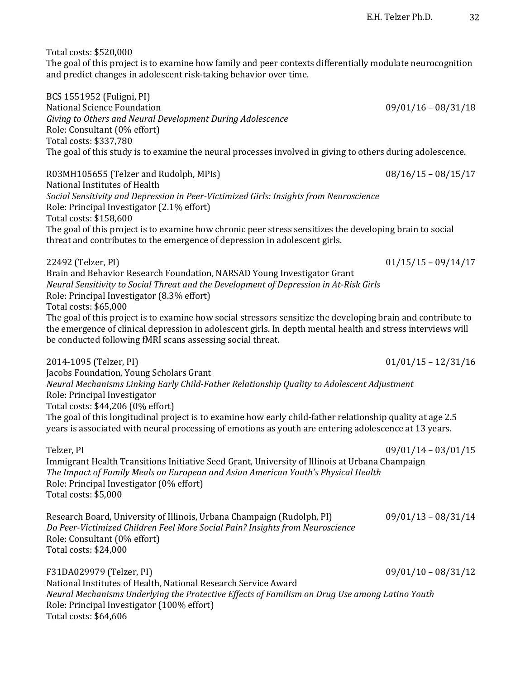Total costs: \$520,000

The goal of this project is to examine how family and peer contexts differentially modulate neurocognition and predict changes in adolescent risk-taking behavior over time.

BCS 1551952 (Fuligni, PI) National Science Foundation **09/01/16** – 08/31/18 Giving to Others and Neural Development During Adolescence Role: Consultant (0% effort) Total costs: \$337,780 The goal of this study is to examine the neural processes involved in giving to others during adolescence.

R03MH105655 (Telzer and Rudolph, MPIs) 08/16/15 - 08/15/17 National Institutes of Health Social Sensitivity and Depression in Peer-Victimized Girls: Insights from Neuroscience Role: Principal Investigator (2.1% effort) Total costs: \$158,600 The goal of this project is to examine how chronic peer stress sensitizes the developing brain to social threat and contributes to the emergence of depression in adolescent girls.

22492 (Telzer, PI) 01/15/15 – 09/14/17 Brain and Behavior Research Foundation, NARSAD Young Investigator Grant *Neural Sensitivity to Social Threat and the Development of Depression in At-Risk Girls* Role: Principal Investigator (8.3% effort) Total costs: \$65,000 The goal of this project is to examine how social stressors sensitize the developing brain and contribute to the emergence of clinical depression in adolescent girls. In depth mental health and stress interviews will be conducted following fMRI scans assessing social threat.

2014-1095 (Telzer, PI) 01/01/15 – 12/31/16 Jacobs Foundation, Young Scholars Grant *Neural Mechanisms Linking Early Child-Father Relationship Quality to Adolescent Adjustment* Role: Principal Investigator Total costs: \$44,206 (0% effort) The goal of this longitudinal project is to examine how early child-father relationship quality at age 2.5 years is associated with neural processing of emotions as youth are entering adolescence at 13 years.

Telzer, PI 09/01/14 – 03/01/15 Immigrant Health Transitions Initiative Seed Grant, University of Illinois at Urbana Champaign The Impact of Family Meals on European and Asian American Youth's Physical Health Role: Principal Investigator (0% effort) Total costs: \$5,000

Research Board, University of Illinois, Urbana Champaign (Rudolph, PI)  $09/01/13 - 08/31/14$ *Do Peer-Victimized Children Feel More Social Pain? Insights from Neuroscience* Role: Consultant (0% effort) Total costs: \$24,000

F31DA029979 (Telzer, PI) 09/01/10 - 08/31/12 National Institutes of Health, National Research Service Award *Neural Mechanisms Underlying the Protective Effects of Familism on Drug Use among Latino Youth* Role: Principal Investigator (100% effort) Total costs: \$64,606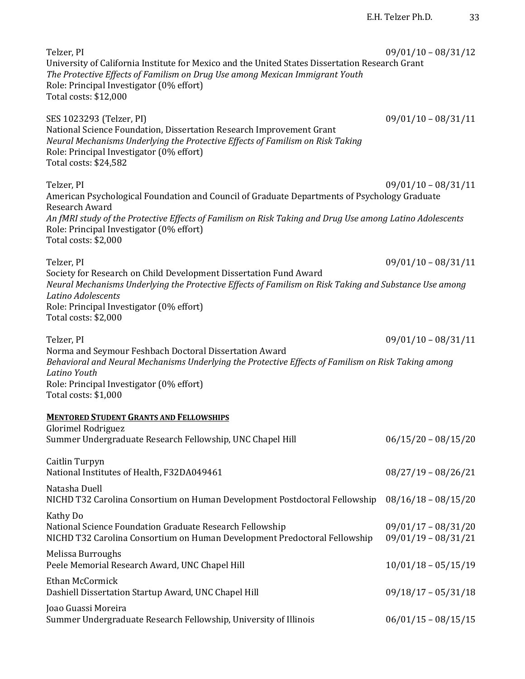| Telzer, PI<br>University of California Institute for Mexico and the United States Dissertation Research Grant<br>The Protective Effects of Familism on Drug Use among Mexican Immigrant Youth<br>Role: Principal Investigator (0% effort)<br>Total costs: \$12,000    | $09/01/10 - 08/31/12$                          |
|-----------------------------------------------------------------------------------------------------------------------------------------------------------------------------------------------------------------------------------------------------------------------|------------------------------------------------|
| SES 1023293 (Telzer, PI)<br>National Science Foundation, Dissertation Research Improvement Grant<br>Neural Mechanisms Underlying the Protective Effects of Familism on Risk Taking<br>Role: Principal Investigator (0% effort)<br>Total costs: \$24,582               | $09/01/10 - 08/31/11$                          |
| Telzer, PI<br>American Psychological Foundation and Council of Graduate Departments of Psychology Graduate<br>Research Award                                                                                                                                          | $09/01/10 - 08/31/11$                          |
| An fMRI study of the Protective Effects of Familism on Risk Taking and Drug Use among Latino Adolescents<br>Role: Principal Investigator (0% effort)<br>Total costs: \$2,000                                                                                          |                                                |
| Telzer, PI                                                                                                                                                                                                                                                            | $09/01/10 - 08/31/11$                          |
| Society for Research on Child Development Dissertation Fund Award<br>Neural Mechanisms Underlying the Protective Effects of Familism on Risk Taking and Substance Use among<br>Latino Adolescents<br>Role: Principal Investigator (0% effort)<br>Total costs: \$2,000 |                                                |
| Telzer, PI                                                                                                                                                                                                                                                            | $09/01/10 - 08/31/11$                          |
| Norma and Seymour Feshbach Doctoral Dissertation Award<br>Behavioral and Neural Mechanisms Underlying the Protective Effects of Familism on Risk Taking among<br>Latino Youth<br>Role: Principal Investigator (0% effort)<br>Total costs: \$1,000                     |                                                |
| <b>MENTORED STUDENT GRANTS AND FELLOWSHIPS</b>                                                                                                                                                                                                                        |                                                |
| Glorimel Rodriguez<br>Summer Undergraduate Research Fellowship, UNC Chapel Hill                                                                                                                                                                                       | $06/15/20 - 08/15/20$                          |
| Caitlin Turpyn<br>National Institutes of Health, F32DA049461                                                                                                                                                                                                          | $08/27/19 - 08/26/21$                          |
| Natasha Duell<br>NICHD T32 Carolina Consortium on Human Development Postdoctoral Fellowship                                                                                                                                                                           | $08/16/18 - 08/15/20$                          |
| Kathy Do<br>National Science Foundation Graduate Research Fellowship<br>NICHD T32 Carolina Consortium on Human Development Predoctoral Fellowship                                                                                                                     | $09/01/17 - 08/31/20$<br>$09/01/19 - 08/31/21$ |
| Melissa Burroughs<br>Peele Memorial Research Award, UNC Chapel Hill                                                                                                                                                                                                   | $10/01/18 - 05/15/19$                          |
| Ethan McCormick<br>Dashiell Dissertation Startup Award, UNC Chapel Hill                                                                                                                                                                                               | $09/18/17 - 05/31/18$                          |
| Joao Guassi Moreira<br>Summer Undergraduate Research Fellowship, University of Illinois                                                                                                                                                                               | $06/01/15 - 08/15/15$                          |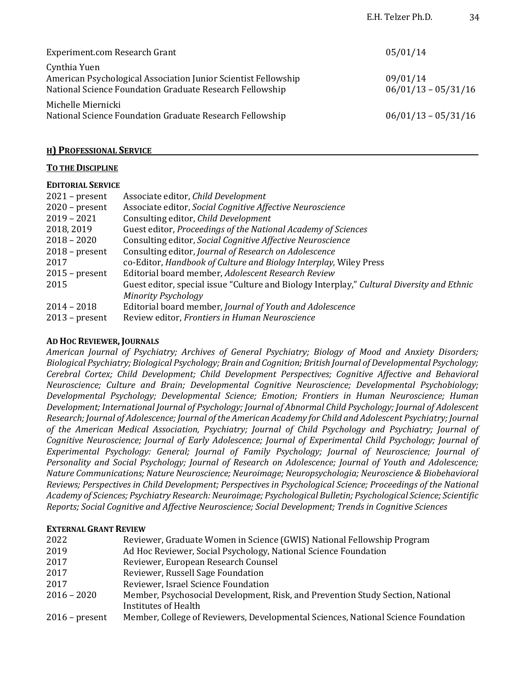| Experiment.com Research Grant                                                                                                              | 05/01/14                          |
|--------------------------------------------------------------------------------------------------------------------------------------------|-----------------------------------|
| Cynthia Yuen<br>American Psychological Association Junior Scientist Fellowship<br>National Science Foundation Graduate Research Fellowship | 09/01/14<br>$06/01/13 - 05/31/16$ |
| Michelle Miernicki<br>National Science Foundation Graduate Research Fellowship                                                             | $06/01/13 - 05/31/16$             |

E.H. Telzer Ph.D. 34

## **H)** PROFESSIONAL SERVICE

#### **TO THE DISCIPLINE**

#### **EDITORIAL SERVICE**

| $2021$ – present | Associate editor, Child Development                                                        |
|------------------|--------------------------------------------------------------------------------------------|
| $2020$ – present | Associate editor, Social Cognitive Affective Neuroscience                                  |
| $2019 - 2021$    | Consulting editor, Child Development                                                       |
| 2018, 2019       | Guest editor, Proceedings of the National Academy of Sciences                              |
| $2018 - 2020$    | Consulting editor, Social Cognitive Affective Neuroscience                                 |
| $2018$ – present | Consulting editor, Journal of Research on Adolescence                                      |
| 2017             | co-Editor, Handbook of Culture and Biology Interplay, Wiley Press                          |
| $2015$ – present | Editorial board member, Adolescent Research Review                                         |
| 2015             | Guest editor, special issue "Culture and Biology Interplay," Cultural Diversity and Ethnic |
|                  | <b>Minority Psychology</b>                                                                 |
| $2014 - 2018$    | Editorial board member, Journal of Youth and Adolescence                                   |
| $2013$ – present | Review editor, Frontiers in Human Neuroscience                                             |

#### **AD HOC REVIEWER, JOURNALS**

American Journal of Psychiatry; Archives of General Psychiatry; Biology of Mood and Anxiety Disorders; *Biological Psychiatry; Biological Psychology; Brain and Cognition; British Journal of Developmental Psychology; Cerebral Cortex; Child Development; Child Development Perspectives; Cognitive Affective and Behavioral Neuroscience; Culture and Brain; Developmental Cognitive Neuroscience; Developmental Psychobiology; Developmental Psychology; Developmental Science; Emotion; Frontiers in Human Neuroscience; Human Development; International Journal of Psychology; Journal of Abnormal Child Psychology; Journal of Adolescent Research; Journal of Adolescence; Journal of the American Academy for Child and Adolescent Psychiatry; Journal*  of the American Medical Association, Psychiatry; Journal of Child Psychology and Psychiatry; Journal of *Cognitive Neuroscience; Journal of Early Adolescence; Journal of Experimental Child Psychology; Journal of Experimental Psychology: General; Journal of Family Psychology; Journal of Neuroscience; Journal of*  Personality and Social Psychology; Journal of Research on Adolescence; Journal of Youth and Adolescence; *Nature Communications; Nature Neuroscience; Neuroimage; Neuropsychologia; Neuroscience & Biobehavioral Reviews; Perspectives in Child Development; Perspectives in Psychological Science; Proceedings of the National Academy of Sciences; Psychiatry Research: Neuroimage; Psychological Bulletin; Psychological Science; Scientific Reports; Social Cognitive and Affective Neuroscience; Social Development; Trends in Cognitive Sciences* 

#### **EXTERNAL GRANT REVIEW**

| 2022             | Reviewer, Graduate Women in Science (GWIS) National Fellowship Program            |
|------------------|-----------------------------------------------------------------------------------|
| 2019             | Ad Hoc Reviewer, Social Psychology, National Science Foundation                   |
| 2017             | Reviewer, European Research Counsel                                               |
| 2017             | Reviewer, Russell Sage Foundation                                                 |
| 2017             | Reviewer, Israel Science Foundation                                               |
| $2016 - 2020$    | Member, Psychosocial Development, Risk, and Prevention Study Section, National    |
|                  | Institutes of Health                                                              |
| $2016$ – present | Member, College of Reviewers, Developmental Sciences, National Science Foundation |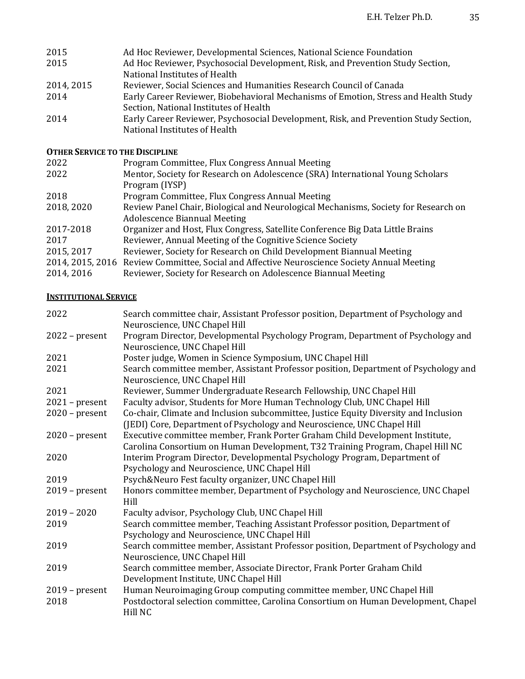| 2015<br>2015 | Ad Hoc Reviewer, Developmental Sciences, National Science Foundation<br>Ad Hoc Reviewer, Psychosocial Development, Risk, and Prevention Study Section,<br>National Institutes of Health |
|--------------|-----------------------------------------------------------------------------------------------------------------------------------------------------------------------------------------|
| 2014, 2015   | Reviewer, Social Sciences and Humanities Research Council of Canada                                                                                                                     |
| 2014         | Early Career Reviewer, Biobehavioral Mechanisms of Emotion, Stress and Health Study<br>Section, National Institutes of Health                                                           |
| 2014         | Early Career Reviewer, Psychosocial Development, Risk, and Prevention Study Section,<br>National Institutes of Health                                                                   |

## **OTHER SERVICE TO THE DISCIPLINE**

| Program Committee, Flux Congress Annual Meeting                                             |
|---------------------------------------------------------------------------------------------|
| Mentor, Society for Research on Adolescence (SRA) International Young Scholars              |
| Program (IYSP)                                                                              |
| Program Committee, Flux Congress Annual Meeting                                             |
| Review Panel Chair, Biological and Neurological Mechanisms, Society for Research on         |
| <b>Adolescence Biannual Meeting</b>                                                         |
| Organizer and Host, Flux Congress, Satellite Conference Big Data Little Brains              |
| Reviewer, Annual Meeting of the Cognitive Science Society                                   |
| Reviewer, Society for Research on Child Development Biannual Meeting                        |
| 2014, 2015, 2016 Review Committee, Social and Affective Neuroscience Society Annual Meeting |
| Reviewer, Society for Research on Adolescence Biannual Meeting                              |
|                                                                                             |

# **INSTITUTIONAL SERVICE**

| 2022             | Search committee chair, Assistant Professor position, Department of Psychology and<br>Neuroscience, UNC Chapel Hill                                             |
|------------------|-----------------------------------------------------------------------------------------------------------------------------------------------------------------|
| $2022$ – present | Program Director, Developmental Psychology Program, Department of Psychology and<br>Neuroscience, UNC Chapel Hill                                               |
| 2021             | Poster judge, Women in Science Symposium, UNC Chapel Hill                                                                                                       |
| 2021             | Search committee member, Assistant Professor position, Department of Psychology and                                                                             |
|                  | Neuroscience, UNC Chapel Hill                                                                                                                                   |
| 2021             | Reviewer, Summer Undergraduate Research Fellowship, UNC Chapel Hill                                                                                             |
| $2021$ – present | Faculty advisor, Students for More Human Technology Club, UNC Chapel Hill                                                                                       |
| $2020$ – present | Co-chair, Climate and Inclusion subcommittee, Justice Equity Diversity and Inclusion<br>(JEDI) Core, Department of Psychology and Neuroscience, UNC Chapel Hill |
| $2020$ – present | Executive committee member, Frank Porter Graham Child Development Institute,                                                                                    |
|                  | Carolina Consortium on Human Development, T32 Training Program, Chapel Hill NC                                                                                  |
| 2020             | Interim Program Director, Developmental Psychology Program, Department of                                                                                       |
|                  | Psychology and Neuroscience, UNC Chapel Hill                                                                                                                    |
| 2019             | Psych&Neuro Fest faculty organizer, UNC Chapel Hill                                                                                                             |
| $2019$ – present | Honors committee member, Department of Psychology and Neuroscience, UNC Chapel<br>Hill                                                                          |
| $2019 - 2020$    | Faculty advisor, Psychology Club, UNC Chapel Hill                                                                                                               |
| 2019             | Search committee member, Teaching Assistant Professor position, Department of                                                                                   |
|                  | Psychology and Neuroscience, UNC Chapel Hill                                                                                                                    |
| 2019             | Search committee member, Assistant Professor position, Department of Psychology and                                                                             |
|                  | Neuroscience, UNC Chapel Hill                                                                                                                                   |
| 2019             | Search committee member, Associate Director, Frank Porter Graham Child<br>Development Institute, UNC Chapel Hill                                                |
| $2019$ – present | Human Neuroimaging Group computing committee member, UNC Chapel Hill                                                                                            |
| 2018             | Postdoctoral selection committee, Carolina Consortium on Human Development, Chapel<br>Hill NC                                                                   |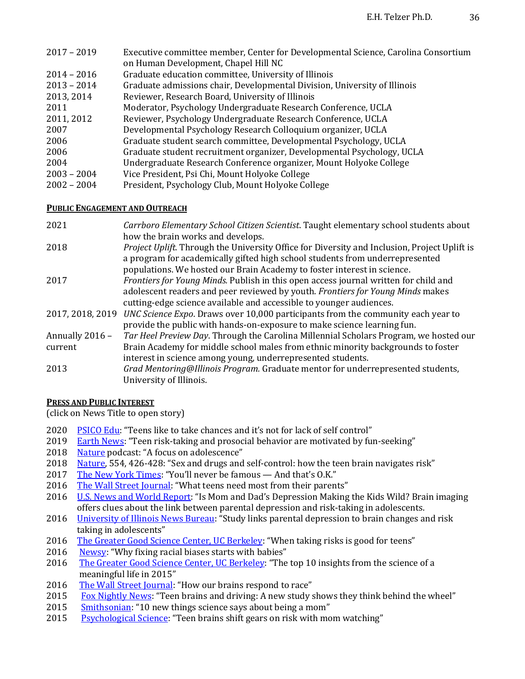| $2017 - 2019$ | Executive committee member, Center for Developmental Science, Carolina Consortium |
|---------------|-----------------------------------------------------------------------------------|
|               | on Human Development, Chapel Hill NC                                              |
| $2014 - 2016$ | Graduate education committee, University of Illinois                              |
| $2013 - 2014$ | Graduate admissions chair, Developmental Division, University of Illinois         |
| 2013, 2014    | Reviewer, Research Board, University of Illinois                                  |
| 2011          | Moderator, Psychology Undergraduate Research Conference, UCLA                     |
| 2011, 2012    | Reviewer, Psychology Undergraduate Research Conference, UCLA                      |
| 2007          | Developmental Psychology Research Colloquium organizer, UCLA                      |
| 2006          | Graduate student search committee, Developmental Psychology, UCLA                 |
| 2006          | Graduate student recruitment organizer, Developmental Psychology, UCLA            |
| 2004          | Undergraduate Research Conference organizer, Mount Holyoke College                |
| $2003 - 2004$ | Vice President, Psi Chi, Mount Holyoke College                                    |
| $2002 - 2004$ | President, Psychology Club, Mount Holyoke College                                 |
|               |                                                                                   |

## **PUBLIC ENGAGEMENT AND OUTREACH**

| 2021             | Carrboro Elementary School Citizen Scientist. Taught elementary school students about                                                                                               |
|------------------|-------------------------------------------------------------------------------------------------------------------------------------------------------------------------------------|
|                  | how the brain works and develops.                                                                                                                                                   |
| 2018             | <i>Project Uplift.</i> Through the University Office for Diversity and Inclusion, Project Uplift is<br>a program for academically gifted high school students from underrepresented |
|                  | populations. We hosted our Brain Academy to foster interest in science.                                                                                                             |
| 2017             | Frontiers for Young Minds. Publish in this open access journal written for child and                                                                                                |
|                  | adolescent readers and peer reviewed by youth. Frontiers for Young Minds makes                                                                                                      |
|                  | cutting-edge science available and accessible to younger audiences.                                                                                                                 |
| 2017, 2018, 2019 | UNC Science Expo. Draws over 10,000 participants from the community each year to                                                                                                    |
|                  | provide the public with hands-on-exposure to make science learning fun.                                                                                                             |
| Annually 2016 -  | Tar Heel Preview Day. Through the Carolina Millennial Scholars Program, we hosted our                                                                                               |
| current          | Brain Academy for middle school males from ethnic minority backgrounds to foster                                                                                                    |
|                  | interest in science among young, underrepresented students.                                                                                                                         |
| 2013             | Grad Mentoring@Illinois Program. Graduate mentor for underrepresented students,                                                                                                     |
|                  | University of Illinois.                                                                                                                                                             |

## **PRESS AND PUBLIC INTEREST**

(click on News Title to open story)

- 2020 PSICO Edu: "Teens like to take chances and it's not for lack of self control"
- 2019 Earth News: "Teen risk-taking and prosocial behavior are motivated by fun-seeking"
- 2018 Nature podcast: "A focus on adolescence"
- 2018 Nature, 554, 426-428: "Sex and drugs and self-control: how the teen brain navigates risk"
- 2017 The New York Times: "You'll never be famous And that's O.K."
- 2016 The Wall Street Journal: "What teens need most from their parents"
- 2016 U.S. News and World Report: "Is Mom and Dad's Depression Making the Kids Wild? Brain imaging offers clues about the link between parental depression and risk-taking in adolescents.
- 2016 University of Illinois News Bureau: "Study links parental depression to brain changes and risk taking in adolescents"
- 2016 The Greater Good Science Center, UC Berkeley: "When taking risks is good for teens"
- 2016 Newsy: "Why fixing racial biases starts with babies"
- 2016 The Greater Good Science Center, UC Berkeley: "The top 10 insights from the science of a meaningful life in 2015"
- 2016 The Wall Street Journal: "How our brains respond to race"
- 2015 Fox Nightly News: "Teen brains and driving: A new study shows they think behind the wheel"
- 2015 Smithsonian: "10 new things science says about being a mom"
- 2015 Psychological Science: "Teen brains shift gears on risk with mom watching"